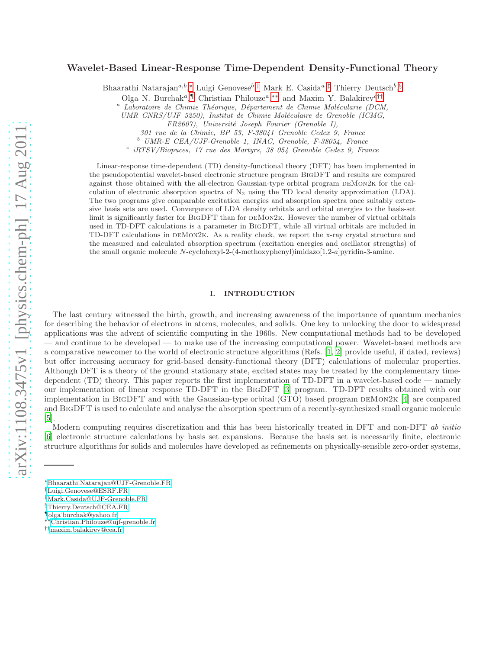# Wavelet-Based Linear-Response Time-Dependent Density-Functional Theory

Bhaarathi Natarajan<sup>a,b</sup>,\* Luigi Genovese<sup>b</sup>,<sup>[†](#page-0-1)</sup> Mark E. Casida<sup>a</sup>,<sup>[‡](#page-0-2)</sup> Thierry Deutsch<sup>b</sup>,<sup>[§](#page-0-3)</sup>

Olga N. Burchak<sup>a</sup>,<sup>[¶](#page-0-4)</sup> Christian Philouze<sup>a</sup>,<sup>\*\*</sup> and Maxim Y. Balakirev<sup>c[††](#page-0-6)</sup>

 $a$  Laboratoire de Chimie Théorique, Département de Chimie Molécularie (DCM,

UMR CNRS/UJF 5250), Institut de Chimie Moléculaire de Grenoble (ICMG,

301 rue de la Chimie, BP 53, F-38041 Grenoble Cedex 9, France

b UMR-E CEA/UJF-Grenoble 1, INAC, Grenoble, F-38054, France

c iRTSV/Biopuces, 17 rue des Martyrs, 38 054 Grenoble Cedex 9, France

Linear-response time-dependent (TD) density-functional theory (DFT) has been implemented in the pseudopotential wavelet-based electronic structure program BigDFT and results are compared against those obtained with the all-electron Gaussian-type orbital program deMon2k for the calculation of electronic absorption spectra of  $N_2$  using the TD local density approximation (LDA). The two programs give comparable excitation energies and absorption spectra once suitably extensive basis sets are used. Convergence of LDA density orbitals and orbital energies to the basis-set limit is significantly faster for  $BiG$  of  $T$  than for  $DE$ MON2K. However the number of virtual orbitals used in TD-DFT calculations is a parameter in BigDFT, while all virtual orbitals are included in TD-DFT calculations in deMon2k. As a reality check, we report the x-ray crystal structure and the measured and calculated absorption spectrum (excitation energies and oscillator strengths) of the small organic molecule N-cyclohexyl-2-(4-methoxyphenyl)imidazo[1,2-a]pyridin-3-amine.

# I. INTRODUCTION

The last century witnessed the birth, growth, and increasing awareness of the importance of quantum mechanics for describing the behavior of electrons in atoms, molecules, and solids. One key to unlocking the door to widespread applications was the advent of scientific computing in the 1960s. New computational methods had to be developed — and continue to be developed — to make use of the increasing computational power. Wavelet-based methods are a comparative newcomer to the world of electronic structure algorithms (Refs. [\[1](#page-18-0), [2\]](#page-18-1) provide useful, if dated, reviews) but offer increasing accuracy for grid-based density-functional theory (DFT) calculations of molecular properties. Although DFT is a theory of the ground stationary state, excited states may be treated by the complementary timedependent (TD) theory. This paper reports the first implementation of TD-DFT in a wavelet-based code — namely our implementation of linear response TD-DFT in the BigDFT [\[3\]](#page-18-2) program. TD-DFT results obtained with our implementation in BigDFT and with the Gaussian-type orbital (GTO) based program deMon2k [\[4](#page-18-3)] are compared and BigDFT is used to calculate and analyse the absorption spectrum of a recently-synthesized small organic molecule [\[5\]](#page-18-4).

Modern computing requires discretization and this has been historically treated in DFT and non-DFT ab initio [\[6\]](#page-18-5) electronic structure calculations by basis set expansions. Because the basis set is necessarily finite, electronic structure algorithms for solids and molecules have developed as refinements on physically-sensible zero-order systems,

FR2607), Université Joseph Fourier (Grenoble I),

<span id="page-0-0"></span><sup>∗</sup>[Bhaarathi.Natarajan@UJF-Grenoble.FR](mailto:Bhaarathi.Natarajan@UJF-Grenoble.FR)

<span id="page-0-1"></span><sup>†</sup>[Luigi.Genovese@ESRF.FR](mailto:Luigi.Genovese@ESRF.FR)

<span id="page-0-2"></span><sup>‡</sup>[Mark.Casida@UJF-Grenoble.FR](mailto:Mark.Casida@UJF-Grenoble.FR)

<span id="page-0-3"></span><sup>§</sup>[Thierry.Deutsch@CEA.FR](mailto:Thierry.Deutsch@CEA.FR)

<span id="page-0-4"></span><sup>¶</sup>[olga˙burchak@yahoo.fr](mailto:olga_burchak@yahoo.fr)

<span id="page-0-5"></span><sup>∗∗</sup>[Christian.Philouze@ujf-grenoble.fr](mailto:Christian.Philouze@ujf-grenoble.fr)

<span id="page-0-6"></span><sup>††</sup>[maxim.balakirev@cea.fr](mailto:maxim.balakirev@cea.fr)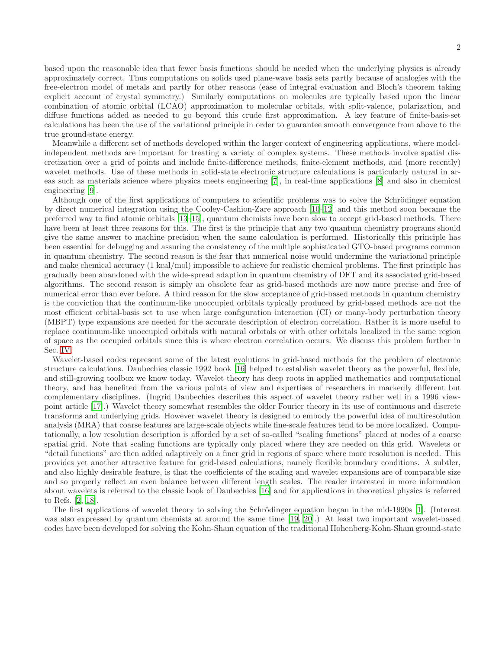based upon the reasonable idea that fewer basis functions should be needed when the underlying physics is already approximately correct. Thus computations on solids used plane-wave basis sets partly because of analogies with the free-electron model of metals and partly for other reasons (ease of integral evaluation and Bloch's theorem taking explicit account of crystal symmetry.) Similarly computations on molecules are typically based upon the linear combination of atomic orbital (LCAO) approximation to molecular orbitals, with split-valence, polarization, and diffuse functions added as needed to go beyond this crude first approximation. A key feature of finite-basis-set calculations has been the use of the variational principle in order to guarantee smooth convergence from above to the true ground-state energy.

Meanwhile a different set of methods developed within the larger context of engineering applications, where modelindependent methods are important for treating a variety of complex systems. These methods involve spatial discretization over a grid of points and include finite-difference methods, finite-element methods, and (more recently) wavelet methods. Use of these methods in solid-state electronic structure calculations is particularly natural in areas such as materials science where physics meets engineering [\[7](#page-18-6)], in real-time applications [\[8\]](#page-18-7) and also in chemical engineering [\[9](#page-18-8)].

Although one of the first applications of computers to scientific problems was to solve the Schrödinger equation by direct numerical integration using the Cooley-Cashion-Zare approach [\[10](#page-18-9)[–12\]](#page-18-10) and this method soon became the preferred way to find atomic orbitals [\[13](#page-18-11)[–15\]](#page-18-12), quantum chemists have been slow to accept grid-based methods. There have been at least three reasons for this. The first is the principle that any two quantum chemistry programs should give the same answer to machine precision when the same calculation is performed. Historically this principle has been essential for debugging and assuring the consistency of the multiple sophisticated GTO-based programs common in quantum chemistry. The second reason is the fear that numerical noise would undermine the variational principle and make chemical accuracy (1 kcal/mol) impossible to achieve for realistic chemical problems. The first principle has gradually been abandoned with the wide-spread adaption in quantum chemistry of DFT and its associated grid-based algorithms. The second reason is simply an obsolete fear as grid-based methods are now more precise and free of numerical error than ever before. A third reason for the slow acceptance of grid-based methods in quantum chemistry is the conviction that the continuum-like unoccupied orbitals typically produced by grid-based methods are not the most efficient orbital-basis set to use when large configuration interaction (CI) or many-body perturbation theory (MBPT) type expansions are needed for the accurate description of electron correlation. Rather it is more useful to replace continuum-like unoccupied orbitals with natural orbitals or with other orbitals localized in the same region of space as the occupied orbitals since this is where electron correlation occurs. We discuss this problem further in Sec. [IV.](#page-8-0)

Wavelet-based codes represent some of the latest evolutions in grid-based methods for the problem of electronic structure calculations. Daubechies classic 1992 book [\[16\]](#page-18-13) helped to establish wavelet theory as the powerful, flexible, and still-growing toolbox we know today. Wavelet theory has deep roots in applied mathematics and computational theory, and has benefited from the various points of view and expertises of researchers in markedly different but complementary disciplines. (Ingrid Daubechies describes this aspect of wavelet theory rather well in a 1996 viewpoint article [\[17](#page-18-14)].) Wavelet theory somewhat resembles the older Fourier theory in its use of continuous and discrete transforms and underlying grids. However wavelet theory is designed to embody the powerful idea of multiresolution analysis (MRA) that coarse features are large-scale objects while fine-scale features tend to be more localized. Computationally, a low resolution description is afforded by a set of so-called "scaling functions" placed at nodes of a coarse spatial grid. Note that scaling functions are typically only placed where they are needed on this grid. Wavelets or "detail functions" are then added adaptively on a finer grid in regions of space where more resolution is needed. This provides yet another attractive feature for grid-based calculations, namely flexible boundary conditions. A subtler, and also highly desirable feature, is that the coefficients of the scaling and wavelet expansions are of comparable size and so properly reflect an even balance between different length scales. The reader interested in more information about wavelets is referred to the classic book of Daubechies [\[16](#page-18-13)] and for applications in theoretical physics is referred to Refs. [\[2,](#page-18-1) [18\]](#page-18-15).

The first applications of wavelet theory to solving the Schrödinger equation began in the mid-1990s [\[1](#page-18-0)]. (Interest was also expressed by quantum chemists at around the same time [\[19](#page-18-16), [20\]](#page-18-17).) At least two important wavelet-based codes have been developed for solving the Kohn-Sham equation of the traditional Hohenberg-Kohn-Sham ground-state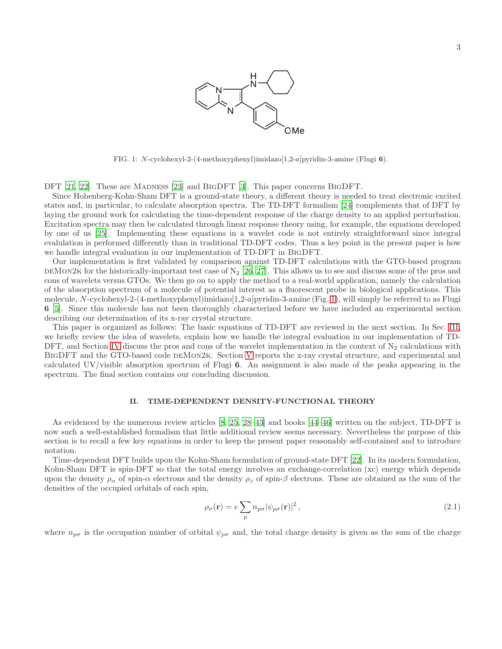

<span id="page-2-0"></span>FIG. 1: N-cyclohexyl-2-(4-methoxyphenyl)imidazo $[1,2-a]$ pyridin-3-amine (Flugi 6).

DFT [\[21](#page-18-18), [22\]](#page-18-19). These are MADNESS [\[23\]](#page-18-20) and BIGDFT [\[3\]](#page-18-2). This paper concerns BIGDFT.

Since Hohenberg-Kohn-Sham DFT is a ground-state theory, a different theory is needed to treat electronic excited states and, in particular, to calculate absorption spectra. The TD-DFT formalism [\[24\]](#page-18-21) complements that of DFT by laying the ground work for calculating the time-dependent response of the charge density to an applied perturbation. Excitation spectra may then be calculated through linear response theory using, for example, the equations developed by one of us [\[25\]](#page-18-22). Implementing these equations in a wavelet code is not entirely straightforward since integral evalulation is performed differently than in traditional TD-DFT codes. Thus a key point in the present paper is how we handle integral evaluation in our implementation of TD-DFT in BigDFT.

Our implementation is first validated by comparison against TD-DFT calculations with the GTO-based program DEMON2K for the historically-important test case of  $N_2$  [\[26,](#page-18-23) [27](#page-18-24)]. This allows us to see and discuss some of the pros and cons of wavelets versus GTOs. We then go on to apply the method to a real-world application, namely the calculation of the absorption spectrum of a molecule of potential interest as a fluorescent probe in biological applications. This molecule, N-cyclohexyl-2-(4-methoxyphenyl)imidazo[1,2-a]pyridin-3-amine (Fig. [1\)](#page-2-0), will simply be referred to as Flugi 6 [\[5\]](#page-18-4). Since this molecule has not been thoroughly characterized before we have included an experimental section describing our determination of its x-ray crystal structure.

This paper is organized as follows: The basic equations of TD-DFT are reviewed in the next section. In Sec. [III,](#page-5-0) we briefly review the idea of wavelets, explain how we handle the integral evaluation in our implementation of TD-DFT, and Section [IV](#page-8-0) discuss the pros and cons of the wavelet implementation in the context of  $N_2$  calculations with BIGDFT and the GTO-based code DEMON2K. Section [V](#page-12-0) reports the x-ray crystal structure, and experimental and calculated UV/visible absorption spectrum of Flugi 6. An assignment is also made of the peaks appearing in the spectrum. The final section contains our concluding discussion.

# <span id="page-2-1"></span>II. TIME-DEPENDENT DENSITY-FUNCTIONAL THEORY

As evidenced by the numerous review articles [\[8](#page-18-7), [25](#page-18-22), [28](#page-18-25)[–43](#page-19-0)] and books [\[44](#page-19-1)[–46](#page-19-2)] written on the subject, TD-DFT is now such a well-established formalism that little additional review seems necessary. Nevertheless the purpose of this section is to recall a few key equations in order to keep the present paper reasonably self-contained and to introduce notation.

Time-dependent DFT builds upon the Kohn-Sham formulation of ground-state DFT [\[22\]](#page-18-19). In its modern formulation, Kohn-Sham DFT is spin-DFT so that the total energy involves an exchange-correlation (xc) energy which depends upon the density  $\rho_{\alpha}$  of spin- $\alpha$  electrons and the density  $\rho_{\beta}$  of spin- $\beta$  electrons. These are obtained as the sum of the densities of the occupied orbitals of each spin,

$$
\rho_{\sigma}(\mathbf{r}) = e \sum_{p} n_{p\sigma} |\psi_{p\sigma}(\mathbf{r})|^2 , \qquad (2.1)
$$

where  $n_{p\sigma}$  is the occupation number of orbital  $\psi_{p\sigma}$  and, the total charge density is given as the sum of the charge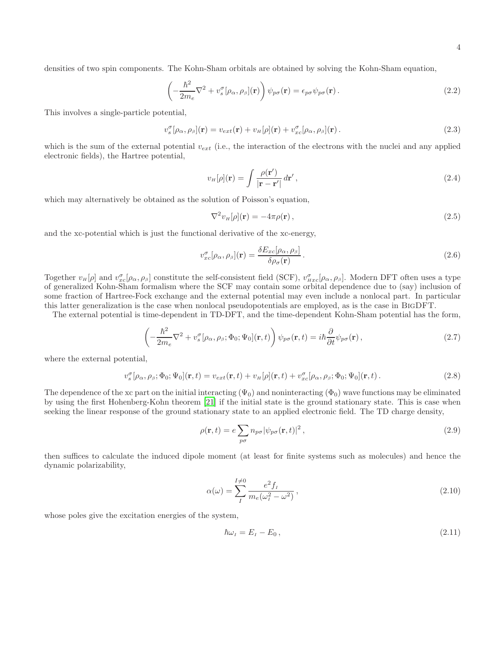densities of two spin components. The Kohn-Sham orbitals are obtained by solving the Kohn-Sham equation,

<span id="page-3-1"></span>
$$
\left(-\frac{\hbar^2}{2m_e}\nabla^2 + v_s^{\sigma}[\rho_\alpha, \rho_\beta](\mathbf{r})\right)\psi_{p\sigma}(\mathbf{r}) = \epsilon_{p\sigma}\psi_{p\sigma}(\mathbf{r}).\tag{2.2}
$$

This involves a single-particle potential,

$$
v_s^{\sigma}[\rho_{\alpha}, \rho_{\beta}](\mathbf{r}) = v_{ext}(\mathbf{r}) + v_H[\rho](\mathbf{r}) + v_{xc}^{\sigma}[\rho_{\alpha}, \rho_{\beta}](\mathbf{r}). \qquad (2.3)
$$

which is the sum of the external potential  $v_{ext}$  (i.e., the interaction of the electrons with the nuclei and any applied electronic fields), the Hartree potential,

$$
v_H[\rho](\mathbf{r}) = \int \frac{\rho(\mathbf{r}')}{|\mathbf{r} - \mathbf{r}'|} d\mathbf{r}',\tag{2.4}
$$

which may alternatively be obtained as the solution of Poisson's equation,

$$
\nabla^2 v_H[\rho](\mathbf{r}) = -4\pi \rho(\mathbf{r})\,,\tag{2.5}
$$

and the xc-potential which is just the functional derivative of the xc-energy,

$$
v_{xc}^{\sigma}[\rho_{\alpha}, \rho_{\beta}](\mathbf{r}) = \frac{\delta E_{xc}[\rho_{\alpha}, \rho_{\beta}]}{\delta \rho_{\sigma}(\mathbf{r})}.
$$
\n(2.6)

Together  $v_H[\rho]$  and  $v_{xc}^{\sigma}[\rho_{\alpha},\rho_{\beta}]$  constitute the self-consistent field (SCF),  $v_{Hxc}^{\sigma}[\rho_{\alpha},\rho_{\beta}]$ . Modern DFT often uses a type of generalized Kohn-Sham formalism where the SCF may contain some orbital dependence due to (say) inclusion of some fraction of Hartree-Fock exchange and the external potential may even include a nonlocal part. In particular this latter generalization is the case when nonlocal pseudopotentials are employed, as is the case in BigDFT.

The external potential is time-dependent in TD-DFT, and the time-dependent Kohn-Sham potential has the form,

$$
\left(-\frac{\hbar^2}{2m_e}\nabla^2 + v_s^{\sigma}[\rho_\alpha, \rho_\beta; \Phi_0; \Psi_0](\mathbf{r}, t)\right) \psi_{p\sigma}(\mathbf{r}, t) = i\hbar \frac{\partial}{\partial t} \psi_{p\sigma}(\mathbf{r}), \qquad (2.7)
$$

where the external potential,

$$
v_s^{\sigma}[\rho_{\alpha}, \rho_{\beta}; \Phi_0; \Psi_0](\mathbf{r}, t) = v_{ext}(\mathbf{r}, t) + v_{H}[\rho](\mathbf{r}, t) + v_{xc}^{\sigma}[\rho_{\alpha}, \rho_{\beta}; \Phi_0; \Psi_0](\mathbf{r}, t).
$$
\n(2.8)

The dependence of the xc part on the initial interacting  $(\Psi_0)$  and noninteracting  $(\Phi_0)$  wave functions may be eliminated by using the first Hohenberg-Kohn theorem [\[21](#page-18-18)] if the initial state is the ground stationary state. This is case when seeking the linear response of the ground stationary state to an applied electronic field. The TD charge density,

$$
\rho(\mathbf{r},t) = e \sum_{p\sigma} n_{p\sigma} |\psi_{p\sigma}(\mathbf{r},t)|^2, \qquad (2.9)
$$

then suffices to calculate the induced dipole moment (at least for finite systems such as molecules) and hence the dynamic polarizability,

<span id="page-3-0"></span>
$$
\alpha(\omega) = \sum_{I}^{I \neq 0} \frac{e^2 f_I}{m_e(\omega_I^2 - \omega^2)},
$$
\n(2.10)

whose poles give the excitation energies of the system,

$$
\hbar\omega_{I} = E_{I} - E_{0},\qquad(2.11)
$$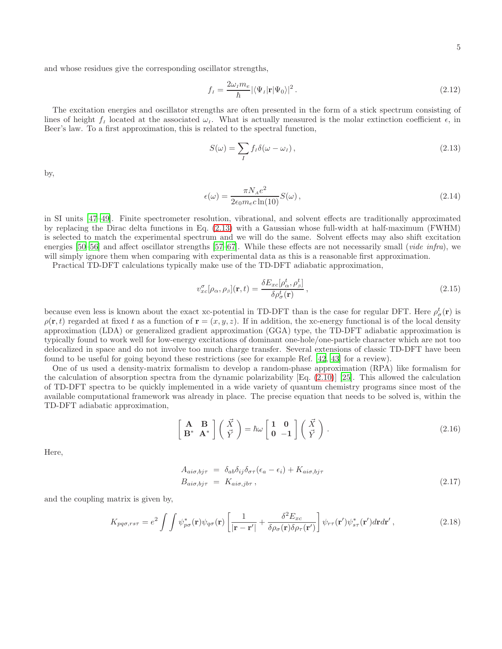and whose residues give the corresponding oscillator strengths,

$$
f_{I} = \frac{2\omega_{I}m_{e}}{\hbar}|\langle\Psi_{I}|\mathbf{r}|\Psi_{0}\rangle|^{2}.
$$
\n(2.12)

The excitation energies and oscillator strengths are often presented in the form of a stick spectrum consisting of lines of height  $f_I$  located at the associated  $\omega_I$ . What is actually measured is the molar extinction coefficient  $\epsilon$ , in Beer's law. To a first approximation, this is related to the spectral function,

<span id="page-4-0"></span>
$$
S(\omega) = \sum_{I} f_{I} \delta(\omega - \omega_{I}), \qquad (2.13)
$$

by,

<span id="page-4-2"></span>
$$
\epsilon(\omega) = \frac{\pi N_A e^2}{2\epsilon_0 m_e c \ln(10)} S(\omega),\tag{2.14}
$$

in SI units [\[47](#page-19-3)[–49\]](#page-19-4). Finite spectrometer resolution, vibrational, and solvent effects are traditionally approximated by replacing the Dirac delta functions in Eq. [\(2.13\)](#page-4-0) with a Gaussian whose full-width at half-maximum (FWHM) is selected to match the experimental spectrum and we will do the same. Solvent effects may also shift excitation energies [\[50](#page-19-5)[–56\]](#page-19-6) and affect oscillator strengths [\[57](#page-19-7)[–67](#page-20-0)]. While these effects are not necessarily small (vide infra), we will simply ignore them when comparing with experimental data as this is a reasonable first approximation.

Practical TD-DFT calculations typically make use of the TD-DFT adiabatic approximation,

$$
v_{xc}^{\sigma}[\rho_{\alpha}, \rho_{\beta}](\mathbf{r}, t) = \frac{\delta E_{xc}[\rho_{\alpha}^t, \rho_{\beta}^t]}{\delta \rho_{\sigma}^t(\mathbf{r})},
$$
\n(2.15)

because even less is known about the exact xc-potential in TD-DFT than is the case for regular DFT. Here  $\rho_{\sigma}^t(\mathbf{r})$  is  $\rho(\mathbf{r},t)$  regarded at fixed t as a function of  $\mathbf{r} = (x,y,z)$ . If in addition, the xc-energy functional is of the local density approximation (LDA) or generalized gradient approximation (GGA) type, the TD-DFT adiabatic approximation is typically found to work well for low-energy excitations of dominant one-hole/one-particle character which are not too delocalized in space and do not involve too much charge transfer. Several extensions of classic TD-DFT have been found to be useful for going beyond these restrictions (see for example Ref. [\[42,](#page-19-8) [43\]](#page-19-0) for a review).

One of us used a density-matrix formalism to develop a random-phase approximation (RPA) like formalism for the calculation of absorption spectra from the dynamic polarizability [Eq. [\(2.10\)](#page-3-0)] [\[25\]](#page-18-22). This allowed the calculation of TD-DFT spectra to be quickly implemented in a wide variety of quantum chemistry programs since most of the available computational framework was already in place. The precise equation that needs to be solved is, within the TD-DFT adiabatic approximation,

<span id="page-4-1"></span>
$$
\begin{bmatrix} \mathbf{A} & \mathbf{B} \\ \mathbf{B}^* & \mathbf{A}^* \end{bmatrix} \begin{pmatrix} \vec{X} \\ \vec{Y} \end{pmatrix} = \hbar \omega \begin{bmatrix} 1 & 0 \\ 0 & -1 \end{bmatrix} \begin{pmatrix} \vec{X} \\ \vec{Y} \end{pmatrix}.
$$
 (2.16)

Here,

$$
A_{ai\sigma,bj\tau} = \delta_{ab}\delta_{ij}\delta_{\sigma\tau}(\epsilon_a - \epsilon_i) + K_{ai\sigma,bj\tau}
$$
  
\n
$$
B_{ai\sigma,bj\tau} = K_{ai\sigma,jb\tau},
$$
\n(2.17)

and the coupling matrix is given by,

$$
K_{pq\sigma,rs\tau} = e^2 \int \int \psi_{p\sigma}^*(\mathbf{r}) \psi_{q\sigma}(\mathbf{r}) \left[ \frac{1}{|\mathbf{r} - \mathbf{r}'|} + \frac{\delta^2 E_{xc}}{\delta \rho_\sigma(\mathbf{r}) \delta \rho_\tau(\mathbf{r}')} \right] \psi_{r\tau}(\mathbf{r}') \psi_{s\tau}^*(\mathbf{r}') d\mathbf{r} d\mathbf{r}',\tag{2.18}
$$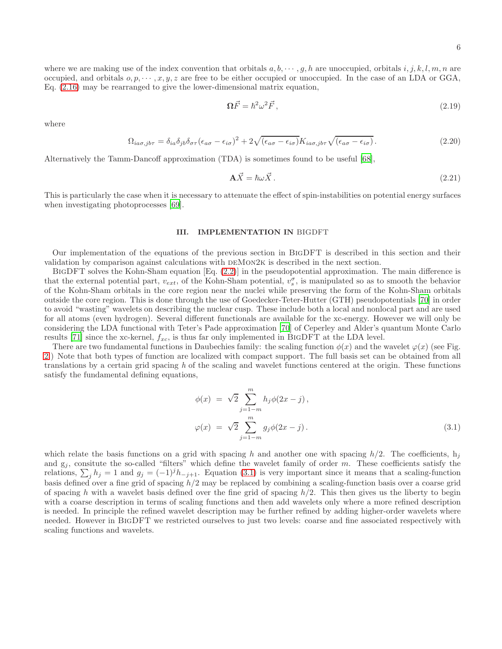where we are making use of the index convention that orbitals  $a, b, \dots, g, h$  are unoccupied, orbitals  $i, j, k, l, m, n$  are occupied, and orbitals  $o, p, \dots, x, y, z$  are free to be either occupied or unoccupied. In the case of an LDA or GGA, Eq. [\(2.16\)](#page-4-1) may be rearranged to give the lower-dimensional matrix equation,

$$
\Omega \vec{F} = \hbar^2 \omega^2 \vec{F},\tag{2.19}
$$

where

$$
\Omega_{ia\sigma,jb\tau} = \delta_{ia}\delta_{jb}\delta_{\sigma\tau}(\epsilon_{a\sigma} - \epsilon_{i\sigma})^2 + 2\sqrt{(\epsilon_{a\sigma} - \epsilon_{i\sigma})}K_{ia\sigma,jb\tau}\sqrt{(\epsilon_{a\sigma} - \epsilon_{i\sigma})}.
$$
\n(2.20)

Alternatively the Tamm-Dancoff approximation (TDA) is sometimes found to be useful [\[68](#page-20-1)],

$$
\mathbf{A}\vec{X} = \hbar\omega\vec{X} \,. \tag{2.21}
$$

This is particularly the case when it is necessary to attenuate the effect of spin-instabilities on potential energy surfaces when investigating photoprocesses [\[69](#page-20-2)].

### <span id="page-5-0"></span>III. IMPLEMENTATION IN BIGDFT

Our implementation of the equations of the previous section in BigDFT is described in this section and their validation by comparison against calculations with DEMON2K is described in the next section.

BigDFT solves the Kohn-Sham equation [Eq. [\(2.2\)](#page-3-1)] in the pseudopotential approximation. The main difference is that the external potential part,  $v_{ext}$ , of the Kohn-Sham potential,  $v_s^{\sigma}$ , is manipulated so as to smooth the behavior of the Kohn-Sham orbitals in the core region near the nuclei while preserving the form of the Kohn-Sham orbitals outside the core region. This is done through the use of Goedecker-Teter-Hutter (GTH) pseudopotentials [\[70\]](#page-20-3) in order to avoid "wasting" wavelets on describing the nuclear cusp. These include both a local and nonlocal part and are used for all atoms (even hydrogen). Several different functionals are available for the xc-energy. However we will only be considering the LDA functional with Teter's Pade approximation [\[70](#page-20-3)] of Ceperley and Alder's quantum Monte Carlo results [\[71\]](#page-20-4) since the xc-kernel,  $f_{xc}$ , is thus far only implemented in BIGDFT at the LDA level.

There are two fundamental functions in Daubechies family: the scaling function  $\phi(x)$  and the wavelet  $\varphi(x)$  (see Fig. [2.](#page-6-0)) Note that both types of function are localized with compact support. The full basis set can be obtained from all translations by a certain grid spacing h of the scaling and wavelet functions centered at the origin. These functions satisfy the fundamental defining equations,

<span id="page-5-1"></span>
$$
\phi(x) = \sqrt{2} \sum_{j=1-m}^{m} h_j \phi(2x - j), \n\varphi(x) = \sqrt{2} \sum_{j=1-m}^{m} g_j \phi(2x - j).
$$
\n(3.1)

which relate the basis functions on a grid with spacing h and another one with spacing  $h/2$ . The coefficients,  $h<sub>j</sub>$ and  $g_j$ , consitute the so-called "filters" which define the wavelet family of order m. These coefficients satisfy the relations,  $\sum_j h_j = 1$  and  $g_j = (-1)^j h_{-j+1}$ . Equation [\(3.1\)](#page-5-1) is very important since it means that a scaling-function basis defined over a fine grid of spacing  $h/2$  may be replaced by combining a scaling-function basis over a coarse grid of spacing h with a wavelet basis defined over the fine grid of spacing  $h/2$ . This then gives us the liberty to begin with a coarse description in terms of scaling functions and then add wavelets only where a more refined description is needed. In principle the refined wavelet description may be further refined by adding higher-order wavelets where needed. However in BigDFT we restricted ourselves to just two levels: coarse and fine associated respectively with scaling functions and wavelets.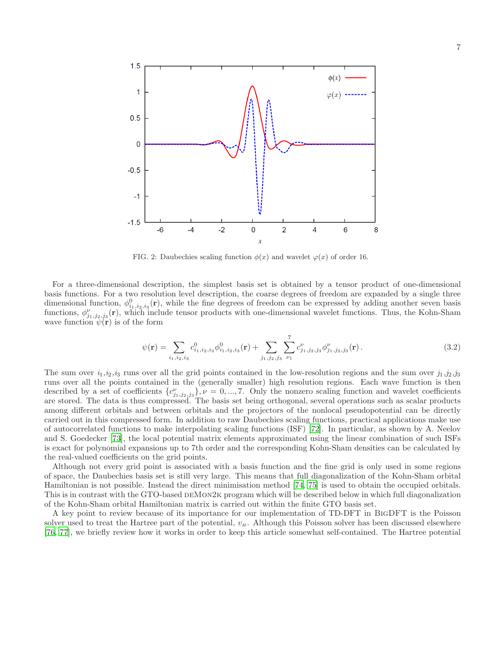

<span id="page-6-0"></span>FIG. 2: Daubechies scaling function  $\phi(x)$  and wavelet  $\varphi(x)$  of order 16.

For a three-dimensional description, the simplest basis set is obtained by a tensor product of one-dimensional basis functions. For a two resolution level description, the coarse degrees of freedom are expanded by a single three dimensional function,  $\phi_{i_1,i_2,i_3}^0(\mathbf{r})$ , while the fine degrees of freedom can be expressed by adding another seven basis functions,  $\phi_{j_1,j_2,j_3}^{\nu}(\mathbf{r})$ , which include tensor products with one-dimensional wavelet functions. Thus, the Kohn-Sham wave function  $\psi(\mathbf{r})$  is of the form

$$
\psi(\mathbf{r}) = \sum_{i_1, i_2, i_3} c_{i_1, i_2, i_3}^0 \phi_{i_1, i_2, i_3}^0(\mathbf{r}) + \sum_{j_1, j_2, j_3} \sum_{\nu_1}^7 c_{j_1, j_2, j_3}^\nu \phi_{j_1, j_2, j_3}^\nu(\mathbf{r}). \tag{3.2}
$$

The sum over  $i_1, i_2, i_3$  runs over all the grid points contained in the low-resolution regions and the sum over  $j_1, j_2, j_3$ runs over all the points contained in the (generally smaller) high resolution regions. Each wave function is then described by a set of coefficients  $\{c_{j_1,j_2,j_3}^\nu\}, \nu = 0, ..., 7$ . Only the nonzero scaling function and wavelet coefficients are stored. The data is thus compressed. The basis set being orthogonal, several operations such as scalar products among different orbitals and between orbitals and the projectors of the nonlocal pseudopotential can be directly carried out in this compressed form. In addition to raw Daubechies scaling functions, practical applications make use of autocorrelated functions to make interpolating scaling functions (ISF) [\[72\]](#page-20-5). In particular, as shown by A. Neelov and S. Goedecker [\[73](#page-20-6)], the local potential matrix elements approximated using the linear combination of such ISFs is exact for polynomial expansions up to 7th order and the corresponding Kohn-Sham densities can be calculated by the real-valued coefficients on the grid points.

Although not every grid point is associated with a basis function and the fine grid is only used in some regions of space, the Daubechies basis set is still very large. This means that full diagonalization of the Kohn-Sham orbital Hamiltonian is not possible. Instead the direct minimisation method [\[74,](#page-20-7) [75](#page-20-8)] is used to obtain the occupied orbitals. This is in contrast with the GTO-based DEMON2K program which will be described below in which full diagonalization of the Kohn-Sham orbital Hamiltonian matrix is carried out within the finite GTO basis set.

A key point to review because of its importance for our implementation of TD-DFT in BigDFT is the Poisson solver used to treat the Hartree part of the potential,  $v_H$ . Although this Poisson solver has been discussed elsewhere [\[76,](#page-20-9) [77\]](#page-20-10), we briefly review how it works in order to keep this article somewhat self-contained. The Hartree potential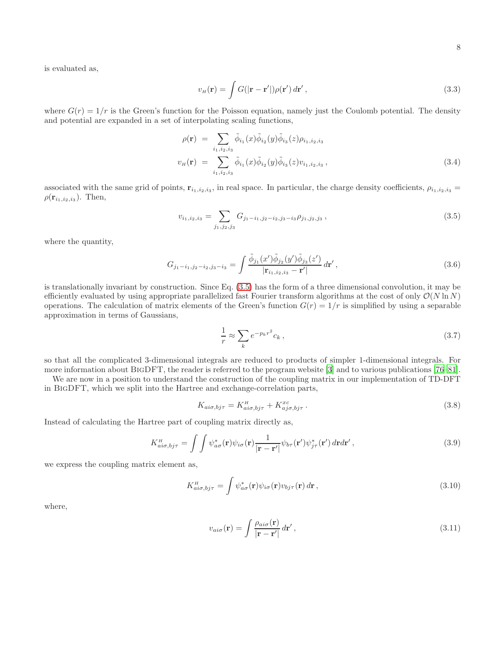is evaluated as,

$$
v_H(\mathbf{r}) = \int G(|\mathbf{r} - \mathbf{r}'|) \rho(\mathbf{r}') d\mathbf{r}',\tag{3.3}
$$

where  $G(r) = 1/r$  is the Green's function for the Poisson equation, namely just the Coulomb potential. The density and potential are expanded in a set of interpolating scaling functions,

$$
\rho(\mathbf{r}) = \sum_{i_1, i_2, i_3} \tilde{\phi}_{i_1}(x) \tilde{\phi}_{i_2}(y) \tilde{\phi}_{i_3}(z) \rho_{i_1, i_2, i_3}
$$
  

$$
v_H(\mathbf{r}) = \sum_{i_1, i_2, i_3} \tilde{\phi}_{i_1}(x) \tilde{\phi}_{i_2}(y) \tilde{\phi}_{i_3}(z) v_{i_1, i_2, i_3},
$$
 (3.4)

associated with the same grid of points,  $\mathbf{r}_{i_1,i_2,i_3}$ , in real space. In particular, the charge density coefficients,  $\rho_{i_1,i_2,i_3}$  $\rho(\mathbf{r}_{i_1,i_2,i_3})$ . Then,

<span id="page-7-0"></span>
$$
v_{i_1,i_2,i_3} = \sum_{j_1,j_2,j_3} G_{j_1-i_1,j_2-i_2,j_3-i_3} \rho_{j_1,j_2,j_3} ,
$$
\n(3.5)

where the quantity,

$$
G_{j_1-i_1,j_2-i_2,j_3-i_3} = \int \frac{\tilde{\phi}_{j_1}(x')\tilde{\phi}_{j_2}(y')\tilde{\phi}_{j_3}(z')}{|\mathbf{r}_{i_1,i_2,i_3} - \mathbf{r}'|} d\mathbf{r}',\tag{3.6}
$$

is translationally invariant by construction. Since Eq. [\(3.5\)](#page-7-0) has the form of a three dimensional convolution, it may be efficiently evaluated by using appropriate parallelized fast Fourier transform algorithms at the cost of only  $\mathcal{O}(N \ln N)$ operations. The calculation of matrix elements of the Green's function  $G(r) = 1/r$  is simplified by using a separable approximation in terms of Gaussians,

$$
\frac{1}{r} \approx \sum_{k} e^{-p_k r^2} c_k \,,\tag{3.7}
$$

so that all the complicated 3-dimensional integrals are reduced to products of simpler 1-dimensional integrals. For more information about BigDFT, the reader is referred to the program website [\[3](#page-18-2)] and to various publications [\[76](#page-20-9)[–81\]](#page-20-11).

We are now in a position to understand the construction of the coupling matrix in our implementation of TD-DFT in BigDFT, which we split into the Hartree and exchange-correlation parts,

$$
K_{ai\sigma,bj\tau} = K_{ai\sigma,bj\tau}^H + K_{aj\sigma,bj\tau}^{xc}.
$$
\n(3.8)

Instead of calculating the Hartree part of coupling matrix directly as,

$$
K_{ai\sigma,bj\tau}^{H} = \int \int \psi_{a\sigma}^{*}(\mathbf{r}) \psi_{i\sigma}(\mathbf{r}) \frac{1}{|\mathbf{r} - \mathbf{r}'|} \psi_{b\tau}(\mathbf{r}') \psi_{j\tau}^{*}(\mathbf{r}') d\mathbf{r} d\mathbf{r}',
$$
\n(3.9)

we express the coupling matrix element as,

<span id="page-7-1"></span>
$$
K_{ai\sigma,bj\tau}^{H} = \int \psi_{a\sigma}^{*}(\mathbf{r})\psi_{i\sigma}(\mathbf{r})v_{bj\tau}(\mathbf{r}) d\mathbf{r}, \qquad (3.10)
$$

where,

$$
v_{ai\sigma}(\mathbf{r}) = \int \frac{\rho_{ai\sigma}(\mathbf{r})}{|\mathbf{r} - \mathbf{r}'|} d\mathbf{r}',\tag{3.11}
$$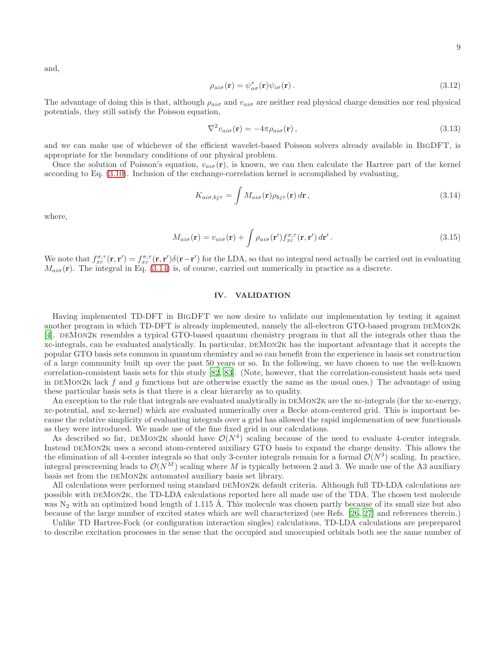and,

$$
\rho_{ai\sigma}(\mathbf{r}) = \psi_{a\sigma}^*(\mathbf{r})\psi_{i\sigma}(\mathbf{r}).\tag{3.12}
$$

The advantage of doing this is that, although  $\rho_{ai\sigma}$  and  $v_{ai\sigma}$  are neither real physical charge densities nor real physical potentials, they still satisfy the Poisson equation,

$$
\nabla^2 v_{ai\sigma}(\mathbf{r}) = -4\pi \rho_{ai\sigma}(\mathbf{r}),\tag{3.13}
$$

and we can make use of whichever of the efficient wavelet-based Poisson solvers already available in BigDFT, is appropriate for the boundary conditions of our physical problem.

Once the solution of Poisson's equation,  $v_{a i \sigma}(\mathbf{r})$ , is known, we can then calculate the Hartree part of the kernel according to Eq. [\(3.10\)](#page-7-1). Inclusion of the exchange-correlation kernel is accomplished by evaluating,

<span id="page-8-1"></span>
$$
K_{ai\sigma,bj\tau} = \int M_{ai\sigma}(\mathbf{r}) \rho_{bj\tau}(\mathbf{r}) d\mathbf{r},\qquad(3.14)
$$

where,

$$
M_{ai\sigma}(\mathbf{r}) = v_{ai\sigma}(\mathbf{r}) + \int \rho_{ai\sigma}(\mathbf{r}') f_{xc}^{\sigma,\tau}(\mathbf{r}, \mathbf{r}') d\mathbf{r}'.
$$
 (3.15)

We note that  $f_{xc}^{\sigma,\tau}(\mathbf{r},\mathbf{r}') = f_{xc}^{\sigma,\tau}(\mathbf{r},\mathbf{r}')\delta(\mathbf{r}-\mathbf{r}')$  for the LDA, so that no integral need actually be carried out in evaluating  $M_{ai\sigma}(\mathbf{r})$ . The integral in Eq. [\(3.14\)](#page-8-1) is, of course, carried out numerically in practice as a discrete.

#### <span id="page-8-0"></span>IV. VALIDATION

Having implemented TD-DFT in BigDFT we now desire to validate our implementation by testing it against another program in which TD-DFT is already implemented, namely the all-electron GTO-based program  $DEMON2K$ [\[4\]](#page-18-3). DEMON2K resembles a typical GTO-based quantum chemistry program in that all the integrals other than the xc-integrals, can be evaluated analytically. In particular, DEMON2K has the important advantage that it accepts the popular GTO basis sets common in quantum chemistry and so can benefit from the experience in basis set construction of a large community built up over the past 50 years or so. In the following, we have chosen to use the well-known correlation-consistent basis sets for this study [\[82,](#page-20-12) [83\]](#page-20-13). (Note, however, that the correlation-consistent basis sets used in DEMON2K lack f and g functions but are otherwise exactly the same as the usual ones.) The advantage of using these particular basis sets is that there is a clear hierarchy as to quality.

An exception to the rule that integrals are evaluated analytically in DEMON2K are the xc-integrals (for the xc-energy, xc-potential, and xc-kernel) which are evaluated numerically over a Becke atom-centered grid. This is important because the relative simplicity of evaluating integrals over a grid has allowed the rapid implemenation of new functionals as they were introduced. We made use of the fine fixed grid in our calculations.

As described so far, DEMON2K should have  $\mathcal{O}(N^4)$  scaling because of the need to evaluate 4-center integrals. Instead deMon2k uses a second atom-centered auxiliary GTO basis to expand the charge density. This allows the the elimination of all 4-center integrals so that only 3-center integrals remain for a formal  $\mathcal{O}(N^3)$  scaling. In practice, integral prescreening leads to  $\mathcal{O}(N^M)$  scaling where M is typically between 2 and 3. We made use of the A3 auxiliary basis set from the DEMON2K automated auxiliary basis set library.

All calculations were performed using standard DEMON2K default criteria. Although full TD-LDA calculations are possible with deMon2k, the TD-LDA calculations reported here all made use of the TDA. The chosen test molecule was  $N_2$  with an optimized bond length of 1.115 Å. This molecule was chosen partly because of its small size but also because of the large number of excited states which are well characterized (see Refs. [\[26,](#page-18-23) [27\]](#page-18-24) and references therein.)

Unlike TD Hartree-Fock (or configuration interaction singles) calculations, TD-LDA calculations are preprepared to describe excitation processes in the sense that the occupied and unoccupied orbitals both see the same number of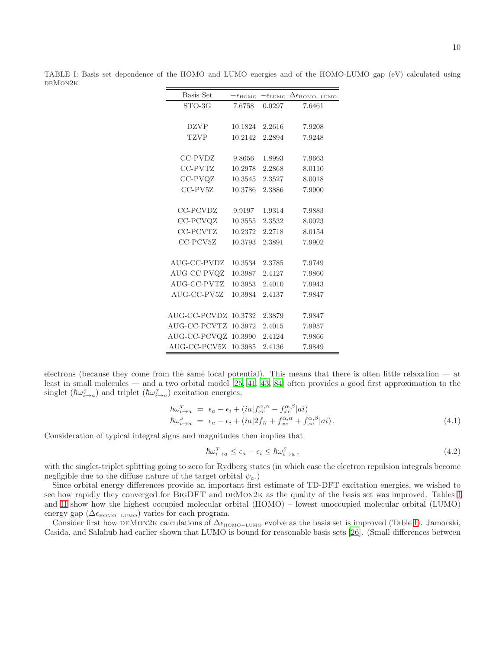| <b>Basis Set</b> | $-\epsilon_{\text{HOMO}}$ | $-\epsilon_{\text{LUMO}}$ | $\Delta \epsilon_{\text{HOMO-LUMO}}$ |
|------------------|---------------------------|---------------------------|--------------------------------------|
| STO-3G           | 7.6758                    | 0.0297                    | 7.6461                               |
|                  |                           |                           |                                      |
| <b>DZVP</b>      | 10.1824                   | 2.2616                    | 7.9208                               |
| <b>TZVP</b>      | 10.2142                   | 2.2894                    | 7.9248                               |
|                  |                           |                           |                                      |
| CC-PVDZ          | 9.8656                    | 1.8993                    | 7.9663                               |
| CC-PVTZ          | 10.2978                   | 2.2868                    | 8.0110                               |
| CC-PVQZ          | 10.3545                   | 2.3527                    | 8.0018                               |
| CC-PV5Z          | 10.3786                   | 2.3886                    | 7.9900                               |
|                  |                           |                           |                                      |
| CC-PCVDZ         | 9.9197                    | 1.9314                    | 7.9883                               |
| CC-PCVQZ         | 10.3555                   | 2.3532                    | 8.0023                               |
| CC-PCVTZ         | 10.2372                   | 2.2718                    | 8.0154                               |
| CC-PCV5Z         | 10.3793                   | 2.3891                    | 7.9902                               |
|                  |                           |                           |                                      |
| AUG-CC-PVDZ      | 10.3534                   | 2.3785                    | 7.9749                               |
| $AUG-CC-PVQZ$    | 10.3987                   | 2.4127                    | 7.9860                               |
| AUG-CC-PVTZ      | 10.3953                   | 2.4010                    | 7.9943                               |
| AUG-CC-PV5Z      | 10.3984                   | 2.4137                    | 7.9847                               |
|                  |                           |                           |                                      |
| AUG-CC-PCVDZ     | 10.3732                   | 2.3879                    | 7.9847                               |
| AUG-CC-PCVTZ     | 10.3972                   | 2.4015                    | 7.9957                               |
|                  |                           |                           |                                      |

<span id="page-9-0"></span>TABLE I: Basis set dependence of the HOMO and LUMO energies and of the HOMO-LUMO gap (eV) calculated using deMon2k.

electrons (because they come from the same local potential). This means that there is often little relaxation — at least in small molecules — and a two orbital model [\[25,](#page-18-22) [41,](#page-19-9) [43](#page-19-0), [84\]](#page-20-14) often provides a good first approximation to the singlet  $(\hbar \omega_{i\to a}^s)$  and triplet  $(\hbar \omega_{i\to a}^T)$  excitation energies,

AUG-CC-PCVQZ 10.3990 2.4124 7.9866 AUG-CC-PCV5Z 10.3985 2.4136 7.9849

<span id="page-9-1"></span>
$$
\hbar\omega_{i\to a}^T = \epsilon_a - \epsilon_i + (ia|f_{xc}^{\alpha,\alpha} - f_{xc}^{\alpha,\beta}|ai) \n\hbar\omega_{i\to a}^S = \epsilon_a - \epsilon_i + (ia|2f_H + f_{xc}^{\alpha,\alpha} + f_{xc}^{\alpha,\beta}|ai).
$$
\n(4.1)

Consideration of typical integral signs and magnitudes then implies that

<span id="page-9-2"></span>
$$
\hbar\omega_{i\to a}^T \le \epsilon_a - \epsilon_i \le \hbar\omega_{i\to a}^S\,,\tag{4.2}
$$

with the singlet-triplet splitting going to zero for Rydberg states (in which case the electron repulsion integrals become negligible due to the diffuse nature of the target orbital  $\psi_a$ .)

Since orbital energy differences provide an important first estimate of TD-DFT excitation energies, we wished to see how rapidly they converged for BIGDFT and DEMON2K as the quality of the basis set was improved. Tables [I](#page-9-0) and [II](#page-10-0) show how the highest occupied molecular orbital (HOMO) – lowest unoccupied molecular orbital (LUMO) energy gap ( $\Delta \epsilon_{\text{HOMO-LUMO}}$ ) varies for each program.

Consider first how DEMON2K calculations of  $\Delta \epsilon_{\text{HOMO-LUMO}}$  evolve as the basis set is improved (Table [I\)](#page-9-0). Jamorski, Casida, and Salahub had earlier shown that LUMO is bound for reasonable basis sets [\[26\]](#page-18-23). (Small differences between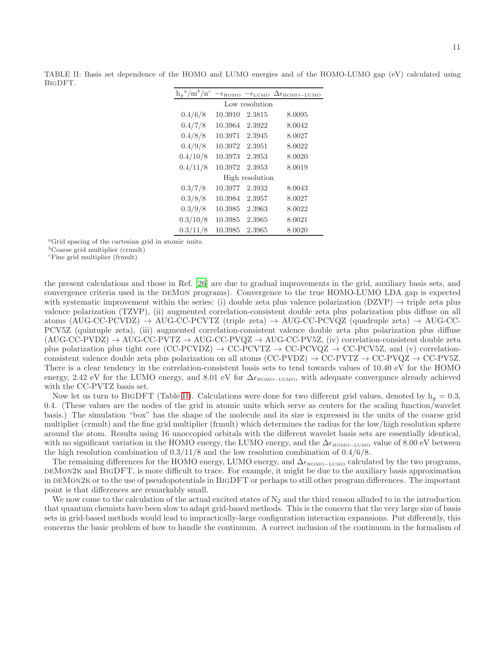| $h_q^a/m^b/n^c$ | $-\epsilon_{\text{HOMO}}$ | $-\epsilon_{\text{LUMO}}$ | $\Delta \epsilon_{\text{HOMO-LUMO}}$ |  |
|-----------------|---------------------------|---------------------------|--------------------------------------|--|
|                 | Low resolution            |                           |                                      |  |
| 0.4/6/8         | 10.3910                   | 2.3815                    | 8.0095                               |  |
| 0.4/7/8         | 10.3964                   | 2.3922                    | 8.0042                               |  |
| 0.4/8/8         | 10.3971                   | 2.3945                    | 8.0027                               |  |
| 0.4/9/8         | 10.3972                   | 2.3951                    | 8.0022                               |  |
| 0.4/10/8        | 10.3973                   | 2.3953                    | 8.0020                               |  |
| 0.4/11/8        | 10.3972                   | 2.3953                    | 8.0019                               |  |
| High resolution |                           |                           |                                      |  |
| 0.3/7/8         | 10.3977                   | 2.3932                    | 8.0043                               |  |
| 0.3/8/8         | 10.3984                   | 2.3957                    | 8.0027                               |  |
| 0.3/9/8         | 10.3985                   | 2.3963                    | 8.0022                               |  |
| 0.3/10/8        | 10.3985                   | 2.3965                    | 8.0021                               |  |
| 0.3/11/8        | 10.3985                   | 2.3965                    | 8.0020                               |  |

<span id="page-10-0"></span>TABLE II: Basis set dependence of the HOMO and LUMO energies and of the HOMO-LUMO gap (eV) calculated using BigDFT.

<sup>a</sup>Grid spacing of the cartesian grid in atomic units.

 $<sup>b</sup>Coarse grid multiplier (crmult)$ </sup>

 ${}^{c}$ Fine grid multiplier (frmult)

the present calculations and those in Ref. [\[26](#page-18-23)] are due to gradual improvements in the grid, auxiliary basis sets, and convergence criteria used in the deMon programs). Convergence to the true HOMO-LUMO LDA gap is expected with systematic improvement within the series: (i) double zeta plus valence polarization  $(DZVP) \rightarrow$  triple zeta plus valence polarization (TZVP), (ii) augmented correlation-consistent double zeta plus polarization plus diffuse on all atoms (AUG-CC-PCVDZ)  $\rightarrow$  AUG-CC-PCVTZ (triple zeta)  $\rightarrow$  AUG-CC-PCVQZ (quadruple zeta)  $\rightarrow$  AUG-CC-PCV5Z (quintuple zeta), (iii) augmented correlation-consistent valence double zeta plus polarization plus diffuse  $(AUG-CC-PVDZ) \rightarrow AUG-CC-PVTZ \rightarrow AUG-CC-PVQZ \rightarrow AUG-CC-PV5Z$ , (iv) correlation-consistent double zeta plus polarization plus tight core (CC-PCVDZ)  $\rightarrow$  CC-PCVTZ  $\rightarrow$  CC-PCVQZ  $\rightarrow$  CC-PCV5Z, and (v) correlationconsistent valence double zeta plus polarization on all atoms  $(CC-PVDZ) \rightarrow CC-PVTZ \rightarrow CC-PVQZ \rightarrow CC-PV5Z$ . There is a clear tendency in the correlation-consistent basis sets to tend towards values of 10.40 eV for the HOMO energy, 2.42 eV for the LUMO energy, and 8.01 eV for  $\Delta \epsilon_{\text{HOMO-LUMO}}$ , with adequate convergance already achieved with the CC-PVTZ basis set.

Now let us turn to BIGDFT (Table [II\)](#page-10-0). Calculations were done for two different grid values, denoted by  $h_g = 0.3$ , 0.4. (These values are the nodes of the grid in atomic units which serve as centers for the scaling function/wavelet basis.) The simulation "box" has the shape of the molecule and its size is expressed in the units of the coarse grid multiplier (crmult) and the fine grid multiplier (frmult) which determines the radius for the low/high resolution sphere around the atom. Results using 16 unoccopied orbitals with the different wavelet basis sets are essentially identical, with no significant variation in the HOMO energy, the LUMO energy, and the  $\Delta \epsilon_{\text{HOMO-LUMO}}$  value of 8.00 eV between the high resolution combination of 0.3/11/8 and the low resolution combination of 0.4/6/8.

The remaining differences for the HOMO energy, LUMO energy, and  $\Delta \epsilon_{\text{HOMO-LUMO}}$  calculated by the two programs, DEMON2K and BIGDFT, is more difficult to trace. For example, it might be due to the auxiliary basis approximation in deMon2k or to the use of pseudopotentials in BigDFT or perhaps to still other program differences. The important point is that differences are remarkably small.

We now come to the calculation of the actual excited states of  $N_2$  and the third reason alluded to in the introduction that quantum chemists have been slow to adapt grid-based methods. This is the concern that the very large size of basis sets in grid-based methods would lead to impractically-large configuration interaction expansions. Put differently, this concerns the basic problem of how to handle the continuum. A correct inclusion of the continuum in the formalism of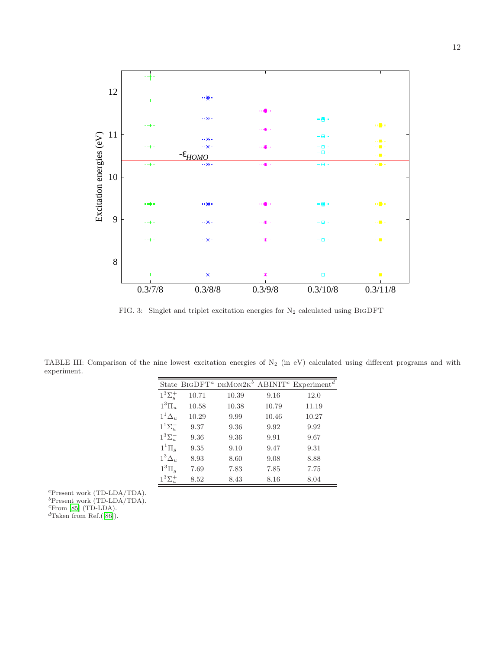

<span id="page-11-0"></span>FIG. 3: Singlet and triplet excitation energies for  $\mathrm{N}_2$  calculated using BIGDFT

<span id="page-11-1"></span>TABLE III: Comparison of the nine lowest excitation energies of N<sup>2</sup> (in eV) calculated using different programs and with experiment.

|                 |       |       |       | State BIGDFT <sup>a</sup> DEMON2K <sup>b</sup> ABINIT <sup>c</sup> Experiment <sup>d</sup> |
|-----------------|-------|-------|-------|--------------------------------------------------------------------------------------------|
| $1^3\Sigma_g^+$ | 10.71 | 10.39 | 9.16  | 12.0                                                                                       |
| $1^3\Pi_u$      | 10.58 | 10.38 | 10.79 | 11.19                                                                                      |
| $1^1\Delta_u$   | 10.29 | 9.99  | 10.46 | 10.27                                                                                      |
| $1^1\Sigma_u^-$ | 9.37  | 9.36  | 9.92  | 9.92                                                                                       |
| $1^3\Sigma_u^-$ | 9.36  | 9.36  | 9.91  | 9.67                                                                                       |
| $1^1\Pi_q$      | 9.35  | 9.10  | 9.47  | 9.31                                                                                       |
| $1^3\Delta_u$   | 8.93  | 8.60  | 9.08  | 8.88                                                                                       |
| $1^3\Pi_q$      | 7.69  | 7.83  | 7.85  | 7.75                                                                                       |
| $1^3\Sigma_u^+$ | 8.52  | 8.43  | 8.16  | 8.04                                                                                       |

<sup>a</sup>Present work (TD-LDA/TDA).  ${}^{b}$ Present work (TD-LDA/TDA).  $c$ From [\[85\]](#page-20-15) (TD-LDA).

 $d$ Taken from Ref. $([86])$  $([86])$  $([86])$ .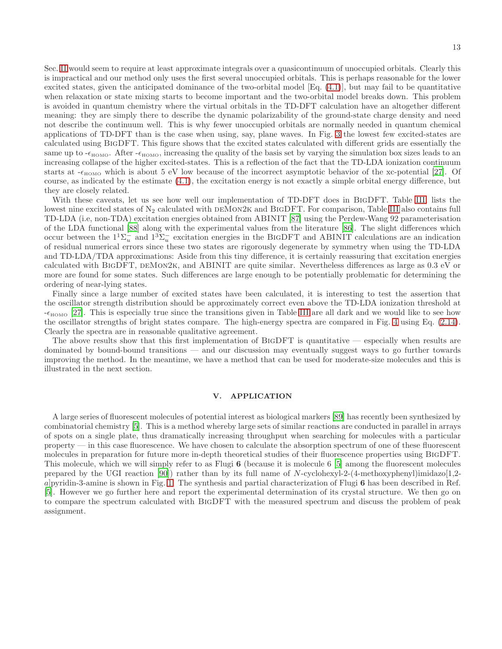Sec. [II](#page-2-1) would seem to require at least approximate integrals over a quasicontinuum of unoccupied orbitals. Clearly this is impractical and our method only uses the first several unoccupied orbitals. This is perhaps reasonable for the lower excited states, given the anticipated dominance of the two-orbital model [Eq. [\(4.1\)](#page-9-1)], but may fail to be quantitative when relaxation or state mixing starts to become important and the two-orbital model breaks down. This problem is avoided in quantum chemistry where the virtual orbitals in the TD-DFT calculation have an altogether different meaning: they are simply there to describe the dynamic polarizability of the ground-state charge density and need not describe the continuum well. This is why fewer unoccupied orbitals are normally needed in quantum chemical applications of TD-DFT than is the case when using, say, plane waves. In Fig. [3](#page-11-0) the lowest few excited-states are calculated using BigDFT. This figure shows that the excited states calculated with different grids are essentially the same up to  $-\epsilon_{\text{HOMO}}$ . After  $-\epsilon_{\text{HOMO}}$ , increasing the quality of the basis set by varying the simulation box sizes leads to an increasing collapse of the higher excited-states. This is a reflection of the fact that the TD-LDA ionization continuum starts at  $-\epsilon_{\text{HOMO}}$  which is about 5 eV low because of the incorrect asymptotic behavior of the xc-potential [\[27\]](#page-18-24). Of course, as indicated by the estimate [\(4.1\)](#page-9-1), the excitation energy is not exactly a simple orbital energy difference, but they are closely related.

With these caveats, let us see how well our implementation of TD-DFT does in BigDFT. Table [III,](#page-11-1) lists the lowest nine excited states of  $N_2$  calculated with DEMON2K and BIGDFT. For comparison, Table [III](#page-11-1) also contains full TD-LDA (i.e, non-TDA) excitation energies obtained from ABINIT [\[87](#page-20-17)] using the Perdew-Wang 92 parameterisation of the LDA functional [\[88\]](#page-20-18) along with the experimental values from the literature [\[86](#page-20-16)]. The slight differences which occur between the  $1^1\Sigma_u^{\dagger}$  and  $1^3\Sigma_u^-$  excitation energies in the BIGDFT and ABINIT calculations are an indication of residual numerical errors since these two states are rigorously degenerate by symmetry when using the TD-LDA and TD-LDA/TDA approximations: Aside from this tiny difference, it is certainly reassuring that excitation energies calculated with BigDFT, deMon2k, and ABINIT are quite similar. Nevertheless differences as large as 0.3 eV or more are found for some states. Such differences are large enough to be potentially problematic for determining the ordering of near-lying states.

Finally since a large number of excited states have been calculated, it is interesting to test the assertion that the oscillator strength distribution should be approximately correct even above the TD-LDA ionization threshold at  $-\epsilon_{\text{HOMO}}$  [\[27](#page-18-24)]. This is especially true since the transitions given in Table [III](#page-11-1) are all dark and we would like to see how the oscillator strengths of bright states compare. The high-energy spectra are compared in Fig. [4](#page-13-0) using Eq. [\(2.14\)](#page-4-2). Clearly the spectra are in reasonable qualitative agreement.

The above results show that this first implementation of BigDFT is quantitative — especially when results are dominated by bound-bound transitions — and our discussion may eventually suggest ways to go further towards improving the method. In the meantime, we have a method that can be used for moderate-size molecules and this is illustrated in the next section.

## <span id="page-12-0"></span>V. APPLICATION

A large series of fluorescent molecules of potential interest as biological markers [\[89\]](#page-20-19) has recently been synthesized by combinatorial chemistry [\[5](#page-18-4)]. This is a method whereby large sets of similar reactions are conducted in parallel in arrays of spots on a single plate, thus dramatically increasing throughput when searching for molecules with a particular property — in this case fluorescence. We have chosen to calculate the absorption spectrum of one of these fluorescent molecules in preparation for future more in-depth theoretical studies of their fluorescence properties using BigDFT. This molecule, which we will simply refer to as Flugi 6 (because it is molecule 6 [\[5](#page-18-4)] among the fluorescent molecules prepared by the UGI reaction [\[90](#page-21-0)]) rather than by its full name of N-cyclohexyl-2-(4-methoxyphenyl)imidazo[1,2a]pyridin-3-amine is shown in Fig. [1.](#page-2-0) The synthesis and partial characterization of Flugi 6 has been described in Ref. [\[5\]](#page-18-4). However we go further here and report the experimental determination of its crystal structure. We then go on to compare the spectrum calculated with BigDFT with the measured spectrum and discuss the problem of peak assignment.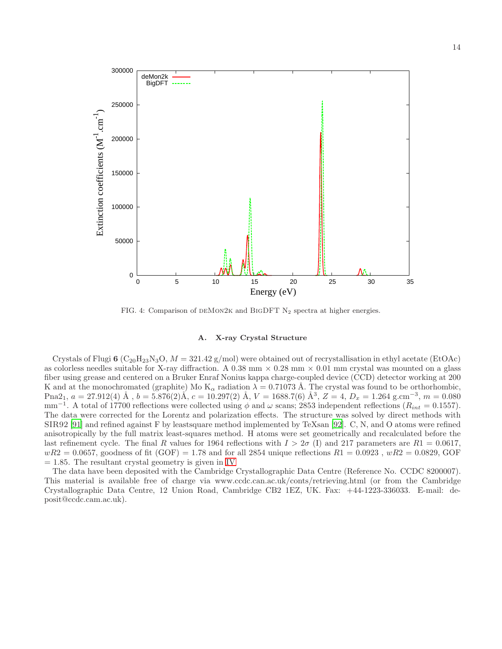

<span id="page-13-0"></span>FIG. 4: Comparison of DEMON2K and BIGDFT  $N_2$  spectra at higher energies.

# A. X-ray Crystal Structure

Crystals of Flugi 6 (C<sub>20</sub>H<sub>23</sub>N<sub>3</sub>O,  $M = 321.42$  g/mol) were obtained out of recrystallisation in ethyl acetate (EtOAc) as colorless needles suitable for X-ray diffraction. A 0.38 mm  $\times$  0.28 mm  $\times$  0.01 mm crystal was mounted on a glass fiber using grease and centered on a Bruker Enraf Nonius kappa charge-coupled device (CCD) detector working at 200 K and at the monochromated (graphite) Mo K<sub>α</sub> radiation  $\lambda = 0.71073$  Å. The crystal was found to be orthorhombic,  $\text{Pna2}_1, a = 27.912(4) \text{ Å }, b = 5.876(2) \text{Å}, c = 10.297(2) \text{ Å}, V = 1688.7(6) \text{ Å}^3, Z = 4, D_x = 1.264 \text{ g.cm}^{-3}, m = 0.080$ mm<sup>-1</sup>. A total of 17700 reflections were collected using  $\phi$  and  $\omega$  scans; 2853 independent reflections ( $R_{int} = 0.1557$ ). The data were corrected for the Lorentz and polarization effects. The structure was solved by direct methods with SIR92 [\[91\]](#page-21-1) and refined against F by leastsquare method implemented by TeXsan [\[92\]](#page-21-2). C, N, and O atoms were refined anisotropically by the full matrix least-squares method. H atoms were set geometrically and recalculated before the last refinement cycle. The final R values for 1964 reflections with  $I > 2\sigma$  (I) and 217 parameters are  $R1 = 0.0617$ ,  $wR2 = 0.0657$ , goodness of fit  $(GOF) = 1.78$  and for all 2854 unique reflections  $R1 = 0.0923$ ,  $wR2 = 0.0829$ , GOF  $= 1.85$ . The resultant crystal geometry is given in [IV](#page-22-0)

The data have been deposited with the Cambridge Crystallographic Data Centre (Reference No. CCDC 8200007). This material is available free of charge via www.ccdc.can.ac.uk/conts/retrieving.html (or from the Cambridge Crystallographic Data Centre, 12 Union Road, Cambridge CB2 1EZ, UK. Fax: +44-1223-336033. E-mail: deposit@ccdc.cam.ac.uk).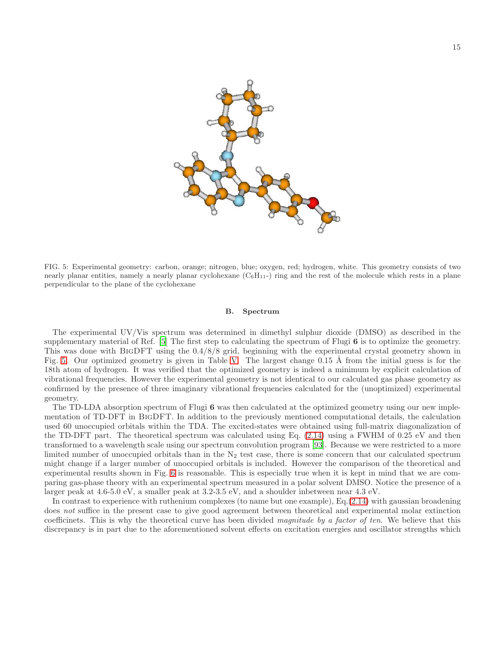

<span id="page-14-0"></span>FIG. 5: Experimental geometry: carbon, orange; nitrogen, blue; oxygen, red; hydrogen, white. This geometry consists of two nearly planar entities, namely a nearly planar cyclohexane  $(C_6H_{11})$  ring and the rest of the molecule which rests in a plane perpendicular to the plane of the cyclohexane

#### B. Spectrum

The experimental UV/Vis spectrum was determined in dimethyl sulphur dioxide (DMSO) as described in the supplementary material of Ref. [\[5\]](#page-18-4) The first step to calculating the spectrum of Flugi 6 is to optimize the geometry. This was done with BigDFT using the 0.4/8/8 grid, beginning with the experimental crystal geometry shown in Fig. [5.](#page-14-0) Our optimized geometry is given in Table [V.](#page-23-0) The largest change  $0.15 \text{ Å}$  from the initial guess is for the 18th atom of hydrogen. It was verified that the optimized geometry is indeed a minimum by explicit calculation of vibrational frequencies. However the experimental geometry is not identical to our calculated gas phase geometry as confirmed by the presence of three imaginary vibrational frequencies calculated for the (unoptimized) experimental geometry.

The TD-LDA absorption spectrum of Flugi 6 was then calculated at the optimized geometry using our new implementation of TD-DFT in BigDFT. In addition to the previously mentioned computational details, the calculation used 60 unoccupied orbitals within the TDA. The excited-states were obtained using full-matrix diagonalization of the TD-DFT part. The theoretical spectrum was calculated using Eq. [\(2.14\)](#page-4-2) using a FWHM of 0.25 eV and then transformed to a wavelength scale using our spectrum convolution program [\[93](#page-21-3)]. Because we were restricted to a more limited number of unoccupied orbitals than in the  $N_2$  test case, there is some concern that our calculated spectrum might change if a larger number of unoccupied orbitals is included. However the comparison of the theoretical and experimental results shown in Fig. [6](#page-15-0) is reasonable. This is especially true when it is kept in mind that we are comparing gas-phase theory with an experimental spectrum measured in a polar solvent DMSO. Notice the presence of a larger peak at 4.6-5.0 eV, a smaller peak at 3.2-3.5 eV, and a shoulder inbetween near 4.3 eV.

In contrast to experience with ruthenium complexes (to name but one example), Eq.[\(2.14\)](#page-4-2) with gaussian broadening does not suffice in the present case to give good agreement between theoretical and experimental molar extinction coefficinets. This is why the theoretical curve has been divided magnitude by a factor of ten. We believe that this discrepancy is in part due to the aforementioned solvent effects on excitation energies and oscillator strengths which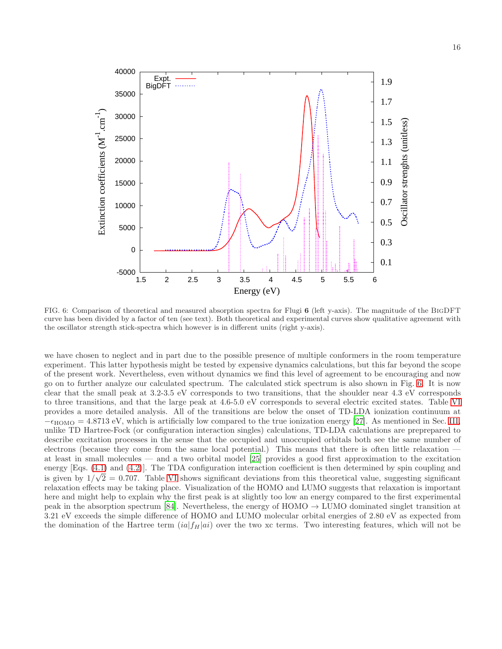

<span id="page-15-0"></span>FIG. 6: Comparison of theoretical and measured absorption spectra for Flugi 6 (left y-axis). The magnitude of the BigDFT curve has been divided by a factor of ten (see text). Both theoretical and experimental curves show qualitative agreement with the oscillator strength stick-spectra which however is in different units (right y-axis).

we have chosen to neglect and in part due to the possible presence of multiple conformers in the room temperature experiment. This latter hypothesis might be tested by expensive dynamics calculations, but this far beyond the scope of the present work. Nevertheless, even without dynamics we find this level of agreement to be encouraging and now go on to further analyze our calculated spectrum. The calculated stick spectrum is also shown in Fig. [6.](#page-15-0) It is now clear that the small peak at 3.2-3.5 eV corresponds to two transitions, that the shoulder near 4.3 eV corresponds to three transitions, and that the large peak at 4.6-5.0 eV corresponds to several electric excited states. Table [VI](#page-24-0) provides a more detailed analysis. All of the transitions are below the onset of TD-LDA ionization continuum at  $-\epsilon_{\text{HOMO}} = 4.8713 \text{ eV}$ , which is artificially low compared to the true ionization energy [\[27](#page-18-24)]. As mentioned in Sec. [III,](#page-5-0) unlike TD Hartree-Fock (or configuration interaction singles) calculations, TD-LDA calculations are preprepared to describe excitation processes in the sense that the occupied and unoccupied orbitals both see the same number of electrons (because they come from the same local potential.) This means that there is often little relaxation at least in small molecules — and a two orbital model [\[25\]](#page-18-22) provides a good first approximation to the excitation energy [Eqs. [\(4.1\)](#page-9-1) and [\(4.2\)](#page-9-2)]. The TDA configuration interaction coefficient is then determined by spin coupling and is given by  $1/\sqrt{2} = 0.707$ . Table [VI](#page-24-0) shows significant deviations from this theoretical value, suggesting significant relaxation effects may be taking place. Visualization of the HOMO and LUMO suggests that relaxation is important here and might help to explain why the first peak is at slightly too low an energy compared to the first experimental peak in the absorption spectrum [\[84\]](#page-20-14). Nevertheless, the energy of HOMO  $\rightarrow$  LUMO dominated singlet transition at 3.21 eV exceeds the simple difference of HOMO and LUMO molecular orbital energies of 2.80 eV as expected from the domination of the Hartree term  $(ia|f_H|ai)$  over the two xc terms. Two interesting features, which will not be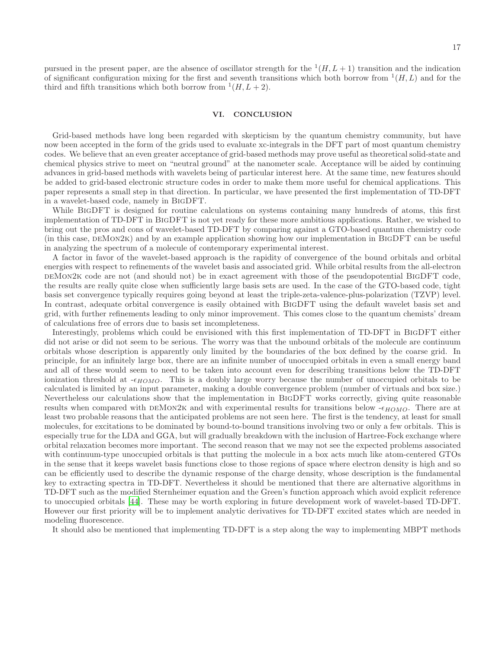pursued in the present paper, are the absence of oscillator strength for the  $(1, L + 1)$  transition and the indication of significant configuration mixing for the first and seventh transitions which both borrow from  $(1, L)$  and for the third and fifth transitions which both borrow from  $(1, L + 2)$ .

## VI. CONCLUSION

Grid-based methods have long been regarded with skepticism by the quantum chemistry community, but have now been accepted in the form of the grids used to evaluate xc-integrals in the DFT part of most quantum chemistry codes. We believe that an even greater acceptance of grid-based methods may prove useful as theoretical solid-state and chemical physics strive to meet on "neutral ground" at the nanometer scale. Acceptance will be aided by continuing advances in grid-based methods with wavelets being of particular interest here. At the same time, new features should be added to grid-based electronic structure codes in order to make them more useful for chemical applications. This paper represents a small step in that direction. In particular, we have presented the first implementation of TD-DFT in a wavelet-based code, namely in BigDFT.

While BigDFT is designed for routine calculations on systems containing many hundreds of atoms, this first implementation of TD-DFT in BigDFT is not yet ready for these more ambitious applications. Rather, we wished to bring out the pros and cons of wavelet-based TD-DFT by comparing against a GTO-based quantum chemistry code (in this case,  $DEMON2K$ ) and by an example application showing how our implementation in BIGDFT can be useful in analyzing the spectrum of a molecule of contemporary experimental interest.

A factor in favor of the wavelet-based approach is the rapidity of convergence of the bound orbitals and orbital energies with respect to refinements of the wavelet basis and associated grid. While orbital results from the all-electron  $DEMON2K$  code are not (and should not) be in exact agreement with those of the pseudopotential  $BIGDFT$  code, the results are really quite close when sufficiently large basis sets are used. In the case of the GTO-based code, tight basis set convergence typically requires going beyond at least the triple-zeta-valence-plus-polarization (TZVP) level. In contrast, adequate orbital convergence is easily obtained with BigDFT using the default wavelet basis set and grid, with further refinements leading to only minor improvement. This comes close to the quantum chemists' dream of calculations free of errors due to basis set incompleteness.

Interestingly, problems which could be envisioned with this first implementation of TD-DFT in BigDFT either did not arise or did not seem to be serious. The worry was that the unbound orbitals of the molecule are continuum orbitals whose description is apparently only limited by the boundaries of the box defined by the coarse grid. In principle, for an infinitely large box, there are an infinite number of unoccupied orbitals in even a small energy band and all of these would seem to need to be taken into account even for describing transitions below the TD-DFT ionization threshold at  $-\epsilon_{HOMO}$ . This is a doubly large worry because the number of unoccupied orbitals to be calculated is limited by an input parameter, making a double convergence problem (number of virtuals and box size.) Nevertheless our calculations show that the implementation in BigDFT works correctly, giving quite reasonable results when compared with DEMON2K and with experimental results for transitions below  $-\epsilon_{HOMO}$ . There are at least two probable reasons that the anticipated problems are not seen here. The first is the tendency, at least for small molecules, for excitations to be dominated by bound-to-bound transitions involving two or only a few orbitals. This is especially true for the LDA and GGA, but will gradually breakdown with the inclusion of Hartree-Fock exchange where orbital relaxation becomes more important. The second reason that we may not see the expected problems associated with continuum-type unoccupied orbitals is that putting the molecule in a box acts much like atom-centered GTOs in the sense that it keeps wavelet basis functions close to those regions of space where electron density is high and so can be efficiently used to describe the dynamic response of the charge density, whose description is the fundamental key to extracting spectra in TD-DFT. Nevertheless it should be mentioned that there are alternative algorithms in TD-DFT such as the modified Sternheimer equation and the Green's function approach which avoid explicit reference to unoccupied orbitals [\[44\]](#page-19-1). These may be worth exploring in future development work of wavelet-based TD-DFT. However our first priority will be to implement analytic derivatives for TD-DFT excited states which are needed in modeling fluorescence.

It should also be mentioned that implementing TD-DFT is a step along the way to implementing MBPT methods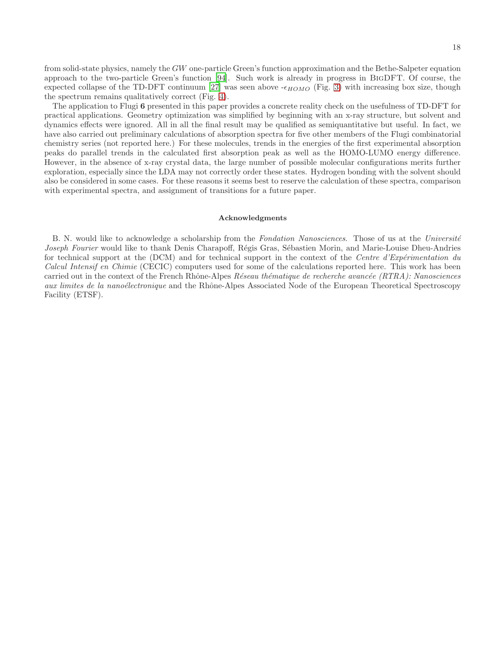from solid-state physics, namely the GW one-particle Green's function approximation and the Bethe-Salpeter equation approach to the two-particle Green's function [\[94](#page-21-4)]. Such work is already in progress in BigDFT. Of course, the expected collapse of the TD-DFT continuum [\[27](#page-18-24)] was seen above  $-\epsilon_{HOMO}$  (Fig. [3\)](#page-11-0) with increasing box size, though the spectrum remains qualitatively correct (Fig. [4\)](#page-13-0).

The application to Flugi 6 presented in this paper provides a concrete reality check on the usefulness of TD-DFT for practical applications. Geometry optimization was simplified by beginning with an x-ray structure, but solvent and dynamics effects were ignored. All in all the final result may be qualified as semiquantitative but useful. In fact, we have also carried out preliminary calculations of absorption spectra for five other members of the Flugi combinatorial chemistry series (not reported here.) For these molecules, trends in the energies of the first experimental absorption peaks do parallel trends in the calculated first absorption peak as well as the HOMO-LUMO energy difference. However, in the absence of x-ray crystal data, the large number of possible molecular configurations merits further exploration, especially since the LDA may not correctly order these states. Hydrogen bonding with the solvent should also be considered in some cases. For these reasons it seems best to reserve the calculation of these spectra, comparison with experimental spectra, and assignment of transitions for a future paper.

#### Acknowledgments

B. N. would like to acknowledge a scholarship from the Fondation Nanosciences. Those of us at the Université Joseph Fourier would like to thank Denis Charapoff, Régis Gras, Sébastien Morin, and Marie-Louise Dheu-Andries for technical support at the (DCM) and for technical support in the context of the Centre d'Expérimentation du Calcul Intensif en Chimie (CECIC) computers used for some of the calculations reported here. This work has been carried out in the context of the French Rhône-Alpes Réseau thématique de recherche avancée (RTRA): Nanosciences aux limites de la nanoélectronique and the Rhône-Alpes Associated Node of the European Theoretical Spectroscopy Facility (ETSF).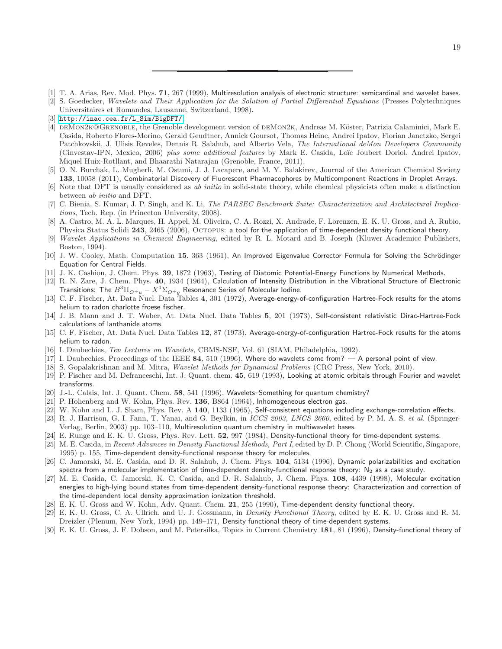- <span id="page-18-0"></span>[1] T. A. Arias, Rev. Mod. Phys. 71, 267 (1999), Multiresolution analysis of electronic structure: semicardinal and wavelet bases.
- <span id="page-18-1"></span>[2] S. Goedecker, Wavelets and Their Application for the Solution of Partial Differential Equations (Presses Polytechniques Universitaires et Romandes, Lausanne, Switzerland, 1998).
- <span id="page-18-2"></span>[3] [http://inac.cea.fr/L\\_Sim/BigDFT/](http://inac.cea.fr/L_Sim/BigDFT/).
- <span id="page-18-3"></span>[4] DEMON2K@GRENOBLE, the Grenoble development version of DEMON2K, Andreas M. Köster, Patrizia Calaminici, Mark E. Casida, Roberto Flores-Morino, Gerald Geudtner, Annick Goursot, Thomas Heine, Andrei Ipatov, Florian Janetzko, Sergei Patchkovskii, J. Ulisis Reveles, Dennis R. Salahub, and Alberto Vela, The International deMon Developers Community (Cinvestav-IPN, Mexico, 2006) plus some additional features by Mark E. Casida, Loïc Joubert Doriol, Andrei Ipatov, Miquel Huix-Rotllant, and Bhaarathi Natarajan (Grenoble, France, 2011).
- <span id="page-18-4"></span>[5] O. N. Burchak, L. Mugherli, M. Ostuni, J. J. Lacapere, and M. Y. Balakirev, Journal of the American Chemical Society 133, 10058 (2011), Combinatorial Discovery of Fluorescent Pharmacophores by Multicomponent Reactions in Droplet Arrays.
- <span id="page-18-5"></span>[6] Note that DFT is usually considered as ab initio in solid-state theory, while chemical physicists often make a distinction between ab initio and DFT.
- <span id="page-18-6"></span>[7] C. Bienia, S. Kumar, J. P. Singh, and K. Li, The PARSEC Benchmark Suite: Characterization and Architectural Implications, Tech. Rep. (in Princeton University, 2008).
- <span id="page-18-7"></span>[8] A. Castro, M. A. L. Marques, H. Appel, M. Oliveira, C. A. Rozzi, X. Andrade, F. Lorenzen, E. K. U. Gross, and A. Rubio, Physica Status Solidi 243, 2465 (2006), OCTOPUS: a tool for the application of time-dependent density functional theory.
- <span id="page-18-8"></span>[9] Wavelet Applications in Chemical Engineering, edited by R. L. Motard and B. Joseph (Kluwer Academicc Publishers, Boston, 1994).
- <span id="page-18-9"></span>[10] J. W. Cooley, Math. Computation 15, 363 (1961), An Improved Eigenvalue Corrector Formula for Solving the Schrödinger Equation for Central Fields.
- [11] J. K. Cashion, J. Chem. Phys. 39, 1872 (1963), Testing of Diatomic Potential-Energy Functions by Numerical Methods.
- <span id="page-18-10"></span>[12] R. N. Zare, J. Chem. Phys. 40, 1934 (1964), Calculation of Intensity Distribution in the Vibrational Structure of Electronic Transitions: The  $B^3\Pi_{O^+u} - X^1\Sigma_{O^+g}$  Resonance Series of Molecular lodine.
- <span id="page-18-11"></span>[13] C. F. Fischer, At. Data Nucl. Data Tables 4, 301 (1972), Average-energy-of-configuration Hartree-Fock results for the atoms helium to radon charlotte froese fischer.
- [14] J. B. Mann and J. T. Waber, At. Data Nucl. Data Tables 5, 201 (1973), Self-consistent relativistic Dirac-Hartree-Fock calculations of lanthanide atoms.
- <span id="page-18-12"></span>[15] C. F. Fischer, At. Data Nucl. Data Tables 12, 87 (1973), Average-energy-of-configuration Hartree-Fock results for the atoms helium to radon.
- <span id="page-18-13"></span>[16] I. Daubechies, Ten Lectures on Wavelets, CBMS-NSF, Vol. 61 (SIAM, Philadelphia, 1992).
- <span id="page-18-14"></span>[17] I. Daubechies, Proceedings of the IEEE 84, 510 (1996), Where do wavelets come from?  $-$  A personal point of view.
- <span id="page-18-15"></span>[18] S. Gopalakrishnan and M. Mitra, Wavelet Methods for Dynamical Problems (CRC Press, New York, 2010).
- <span id="page-18-16"></span>[19] P. Fischer and M. Defranceschi, Int. J. Quant. chem. 45, 619 (1993), Looking at atomic orbitals through Fourier and wavelet transforms.
- <span id="page-18-17"></span>[20] J.-L. Calais, Int. J. Quant. Chem. 58, 541 (1996), Wavelets–Something for quantum chemistry?
- <span id="page-18-18"></span>[21] P. Hohenberg and W. Kohn, Phys. Rev. 136, B864 (1964), Inhomogeneous electron gas.
- <span id="page-18-19"></span>[22] W. Kohn and L. J. Sham, Phys. Rev. A 140, 1133 (1965), Self-consistent equations including exchange-correlation effects.
- <span id="page-18-20"></span>[23] R. J. Harrison, G. I. Fann, T. Yanai, and G. Beylkin, in ICCS 2003, LNCS 2660, edited by P. M. A. S. et al. (Springer-Verlag, Berlin, 2003) pp. 103–110, Multiresolution quantum chemistry in multiwavelet bases.
- <span id="page-18-21"></span>[24] E. Runge and E. K. U. Gross, Phys. Rev. Lett. 52, 997 (1984), Density-functional theory for time-dependent systems.
- <span id="page-18-22"></span>[25] M. E. Casida, in Recent Advances in Density Functional Methods, Part I, edited by D. P. Chong (World Scientific, Singapore, 1995) p. 155, Time-dependent density-functional response theory for molecules.
- <span id="page-18-23"></span>[26] C. Jamorski, M. E. Casida, and D. R. Salahub, J. Chem. Phys. 104, 5134 (1996), Dynamic polarizabilities and excitation spectra from a molecular implementation of time-dependent density-functional response theory:  $N_2$  as a case study.
- <span id="page-18-24"></span>[27] M. E. Casida, C. Jamorski, K. C. Casida, and D. R. Salahub, J. Chem. Phys. 108, 4439 (1998), Molecular excitation energies to high-lying bound states from time-dependent density-functional response theory: Characterization and correction of the time-dependent local density approximation ionization threshold.
- <span id="page-18-25"></span>[28] E. K. U. Gross and W. Kohn, Adv. Quant. Chem. 21, 255 (1990), Time-dependent density functional theory.
- [29] E. K. U. Gross, C. A. Ullrich, and U. J. Gossmann, in *Density Functional Theory*, edited by E. K. U. Gross and R. M. Dreizler (Plenum, New York, 1994) pp. 149–171, Density functional theory of time-dependent systems.
- [30] E. K. U. Gross, J. F. Dobson, and M. Petersilka, Topics in Current Chemistry 181, 81 (1996), Density-functional theory of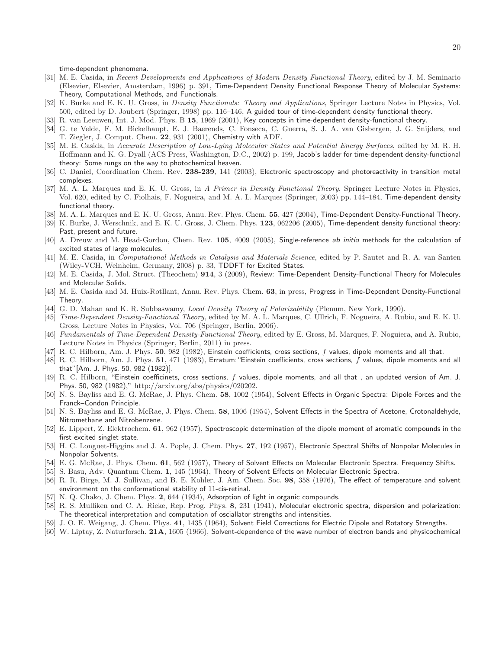time-dependent phenomena.

- [31] M. E. Casida, in Recent Developments and Applications of Modern Density Functional Theory, edited by J. M. Seminario (Elsevier, Elsevier, Amsterdam, 1996) p. 391, Time-Dependent Density Functional Response Theory of Molecular Systems: Theory, Computational Methods, and Functionals.
- [32] K. Burke and E. K. U. Gross, in Density Functionals: Theory and Applications, Springer Lecture Notes in Physics, Vol. 500, edited by D. Joubert (Springer, 1998) pp. 116–146, A guided tour of time-dependent density functional theory.
- [33] R. van Leeuwen, Int. J. Mod. Phys. B 15, 1969 (2001), Key concepts in time-dependent density-functional theory.
- [34] G. te Velde, F. M. Bickelhaupt, E. J. Baerends, C. Fonseca, C. Guerra, S. J. A. van Gisbergen, J. G. Snijders, and T. Ziegler, J. Comput. Chem. 22, 931 (2001), Chemistry with ADF.
- [35] M. E. Casida, in Accurate Description of Low-Lying Molecular States and Potential Energy Surfaces, edited by M. R. H. Hoffmann and K. G. Dyall (ACS Press, Washington, D.C., 2002) p. 199, Jacob's ladder for time-dependent density-functional theory: Some rungs on the way to photochemical heaven.
- [36] C. Daniel, Coordination Chem. Rev. 238-239, 141 (2003), Electronic spectroscopy and photoreactivity in transition metal complexes.
- [37] M. A. L. Marques and E. K. U. Gross, in A Primer in Density Functional Theory, Springer Lecture Notes in Physics, Vol. 620, edited by C. Fiolhais, F. Nogueira, and M. A. L. Marques (Springer, 2003) pp. 144–184, Time-dependent density functional theory.
- [38] M. A. L. Marques and E. K. U. Gross, Annu. Rev. Phys. Chem. 55, 427 (2004), Time-Dependent Density-Functional Theory.
- [39] K. Burke, J. Werschnik, and E. K. U. Gross, J. Chem. Phys. 123, 062206 (2005), Time-dependent density functional theory: Past, present and future.
- [40] A. Dreuw and M. Head-Gordon, Chem. Rev. 105, 4009 (2005), Single-reference ab initio methods for the calculation of excited states of large molecules.
- <span id="page-19-9"></span>[41] M. E. Casida, in Computational Methods in Catalysis and Materials Science, edited by P. Sautet and R. A. van Santen (Wiley-VCH, Weinheim, Germany, 2008) p. 33, TDDFT for Excited States.
- <span id="page-19-8"></span>[42] M. E. Casida, J. Mol. Struct. (Theochem) 914, 3 (2009), Review: Time-Dependent Density-Functional Theory for Molecules and Molecular Solids.
- <span id="page-19-0"></span>[43] M. E. Casida and M. Huix-Rotllant, Annu. Rev. Phys. Chem. 63, in press, Progress in Time-Dependent Density-Functional Theory.
- <span id="page-19-1"></span>[44] G. D. Mahan and K. R. Subbaswamy, Local Density Theory of Polarizability (Plenum, New York, 1990).
- [45] Time-Dependent Density-Functional Theory, edited by M. A. L. Marques, C. Ullrich, F. Nogueira, A. Rubio, and E. K. U. Gross, Lecture Notes in Physics, Vol. 706 (Springer, Berlin, 2006).
- <span id="page-19-2"></span>[46] Fundamentals of Time-Dependent Density-Functional Theory, edited by E. Gross, M. Marques, F. Noguiera, and A. Rubio, Lecture Notes in Physics (Springer, Berlin, 2011) in press.
- <span id="page-19-3"></span> $[47]$  R. C. Hilborn, Am. J. Phys.  $50$ ,  $982$   $(1982)$ , Einstein coefficients, cross sections,  $f$  values, dipole moments and all that.
- [48] R. C. Hilborn, Am. J. Phys. 51, 471 (1983), Erratum: "Einstein coefficients, cross sections, f values, dipole moments and all that"[Am. J. Phys. 50, 982 (1982)].
- <span id="page-19-4"></span>[49] R. C. Hilborn, "Einstein coefficinets, cross sections, f values, dipole moments, and all that, an updated version of Am. J. Phys. 50, 982 (1982)," http://arxiv.org/abs/physics/020202.
- <span id="page-19-5"></span>[50] N. S. Bayliss and E. G. McRae, J. Phys. Chem. 58, 1002 (1954), Solvent Effects in Organic Spectra: Dipole Forces and the Franck–Condon Principle.
- [51] N. S. Bayliss and E. G. McRae, J. Phys. Chem. 58, 1006 (1954), Solvent Effects in the Spectra of Acetone, Crotonaldehyde, Nitromethane and Nitrobenzene.
- [52] E. Lippert, Z. Elektrochem. 61, 962 (1957), Spectroscopic determination of the dipole moment of aromatic compounds in the first excited singlet state.
- [53] H. C. Longuet-Higgins and J. A. Pople, J. Chem. Phys. 27, 192 (1957), Electronic Spectral Shifts of Nonpolar Molecules in Nonpolar Solvents.
- [54] E. G. McRae, J. Phys. Chem. 61, 562 (1957), Theory of Solvent Effects on Molecular Electronic Spectra. Frequency Shifts.
- [55] S. Basu, Adv. Quantum Chem. 1, 145 (1964), Theory of Solvent Effects on Molecular Electronic Spectra.
- <span id="page-19-6"></span>[56] R. R. Birge, M. J. Sullivan, and B. E. Kohler, J. Am. Chem. Soc. 98, 358 (1976), The effect of temperature and solvent environment on the conformational stability of 11-cis-retinal.
- <span id="page-19-7"></span>[57] N. Q. Chako, J. Chem. Phys. 2, 644 (1934), Adsorption of light in organic compounds.
- [58] R. S. Mulliken and C. A. Rieke, Rep. Prog. Phys. 8, 231 (1941), Molecular electronic spectra, dispersion and polarization: The theoretical interpretation and computation of osciallator strengths and intensities.
- [59] J. O. E. Weigang, J. Chem. Phys. 41, 1435 (1964), Solvent Field Corrections for Electric Dipole and Rotatory Strengths.
- [60] W. Liptay, Z. Naturforsch. 21A, 1605 (1966), Solvent-dependence of the wave number of electron bands and physicochemical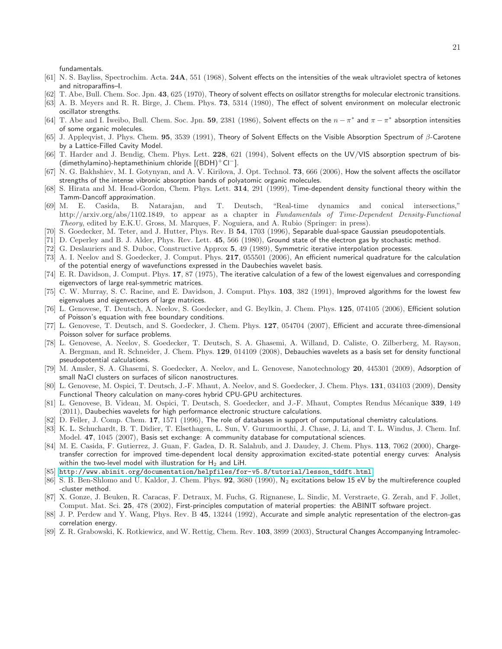fundamentals.

- [61] N. S. Bayliss, Spectrochim. Acta. 24A, 551 (1968), Solvent effects on the intensities of the weak ultraviolet spectra of ketones and nitroparaffins–I.
- $[62]$   $\rm{T.}$   $\rm{Abe, Bull.}$   $\rm{Chem.}$   $\rm{Soc.}$   $\rm{Jpn.}$   $\bf{43},$   $625$   $(1970),$   $\rm{Theory}$  of solvent effects on osillator strengths for molecular electronic transitions.
- [63] A. B. Meyers and R. R. Birge, J. Chem. Phys. 73, 5314 (1980), The effect of solvent environment on molecular electronic oscillator strengths.
- [64] T. Abe and I. Iweibo, Bull. Chem. Soc. Jpn. 59, 2381 (1986), Solvent effects on the  $n \pi^*$  and  $\pi \pi^*$  absorption intensities of some organic molecules.
- [65] J. Appleqvist, J. Phys. Chem. 95, 3539 (1991), Theory of Solvent Effects on the Visible Absorption Spectrum of β-Carotene by a Lattice-Filled Cavity Model.
- [66] T. Harder and J. Bendig, Chem. Phys. Lett. 228, 621 (1994), Solvent effects on the UV/VIS absorption spectrum of bis-(dimethylamino)-heptamethinium chloride  $[(BDH)^+Cl^-]$ .
- <span id="page-20-0"></span>[67] N. G. Bakhshiev, M. I. Gotynyan, and A. V. Kirilova, J. Opt. Technol. 73, 666 (2006), How the solvent affects the oscillator strengths of the intense vibronic absorption bands of polyatomic organic molecules.
- <span id="page-20-1"></span>[68] S. Hirata and M. Head-Gordon, Chem. Phys. Lett. 314, 291 (1999), Time-dependent density functional theory within the Tamm-Dancoff approximation.
- <span id="page-20-2"></span>[69] M. E. Casida, B. Natarajan, and T. Deutsch, "Real-time dynamics and conical intersections," http://arxiv.org/abs/1102.1849, to appear as a chapter in Fundamentals of Time-Dependent Density-Functional Theory, edited by E.K.U. Gross, M. Marques, F. Noguiera, and A. Rubio (Springer: in press).
- <span id="page-20-3"></span>[70] S. Goedecker, M. Teter, and J. Hutter, Phys. Rev. B 54, 1703 (1996), Separable dual-space Gaussian pseudopotentials.
- <span id="page-20-4"></span>[71] D. Ceperley and B. J. Alder, Phys. Rev. Lett. 45, 566 (1980), Ground state of the electron gas by stochastic method.
- <span id="page-20-5"></span>[72] G. Deslauriers and S. Duboc, Constructive Approx 5, 49 (1989), Symmetric iterative interpolation processes.
- <span id="page-20-6"></span>[73] A. I. Neelov and S. Goedecker, J. Comput. Phys. 217, 055501 (2006), An efficient numerical quadrature for the calculation of the potential energy of wavefunctions expressed in the Daubechies wavelet basis.
- <span id="page-20-7"></span>[74] E. R. Davidson, J. Comput. Phys. 17, 87 (1975), The iterative calculation of a few of the lowest eigenvalues and corresponding eigenvectors of large real-symmetric matrices.
- <span id="page-20-8"></span>[75] C. W. Murray, S. C. Racine, and E. Davidson, J. Comput. Phys. 103, 382 (1991), Improved algorithms for the lowest few eigenvalues and eigenvectors of large matrices.
- <span id="page-20-9"></span>[76] L. Genovese, T. Deutsch, A. Neelov, S. Goedecker, and G. Beylkin, J. Chem. Phys. 125, 074105 (2006), Efficient solution of Poisson's equation with free boundary conditions.
- <span id="page-20-10"></span>[77] L. Genovese, T. Deutsch, and S. Goedecker, J. Chem. Phys. 127, 054704 (2007), Efficient and accurate three-dimensional Poisson solver for surface problems.
- [78] L. Genovese, A. Neelov, S. Goedecker, T. Deutsch, S. A. Ghasemi, A. Willand, D. Caliste, O. Zilberberg, M. Rayson, A. Bergman, and R. Schneider, J. Chem. Phys. 129, 014109 (2008), Debauchies wavelets as a basis set for density functional pseudopotential calculations.
- [79] M. Amsler, S. A. Ghasemi, S. Goedecker, A. Neelov, and L. Genovese, Nanotechnology 20, 445301 (2009), Adsorption of small NaCl clusters on surfaces of silicon nanostructures.
- [80] L. Genovese, M. Ospici, T. Deutsch, J.-F. Mhaut, A. Neelov, and S. Goedecker, J. Chem. Phys. 131, 034103 (2009), Density Functional Theory calculation on many-cores hybrid CPU-GPU architectures.
- <span id="page-20-11"></span>[81] L. Genovese, B. Videau, M. Ospici, T. Deutsch, S. Goedecker, and J.-F. Mhaut, Comptes Rendus Mécanique 339, 149 (2011), Daubechies wavelets for high performance electronic structure calculations.
- <span id="page-20-12"></span>[82] D. Feller, J. Comp. Chem. 17, 1571 (1996), The role of databases in support of computational chemistry calculations.
- <span id="page-20-13"></span>[83] K. L. Schuchardt, B. T. Didier, T. Elsethagen, L. Sun, V. Gurumoorthi, J. Chase, J. Li, and T. L. Windus, J. Chem. Inf. Model. 47, 1045 (2007), Basis set exchange: A community database for computational sciences.
- <span id="page-20-14"></span>[84] M. E. Casida, F. Gutierrez, J. Guan, F. Gadea, D. R. Salahub, and J. Daudey, J. Chem. Phys. 113, 7062 (2000), Chargetransfer correction for improved time-dependent local density approximation excited-state potential energy curves: Analysis within the two-level model with illustration for  $H_2$  and LiH.
- <span id="page-20-15"></span>[85] [http://www.abinit.org/documentation/helpfiles/for-v5.8/tutorial/lesson\\_tddft.html](http://www.abinit.org/documentation/helpfiles/for-v5.8/tutorial/lesson_tddft.html).
- <span id="page-20-16"></span>[86] S. B. Ben-Shlomo and U. Kaldor, J. Chem. Phys. **92**, 3680 (1990), N<sub>2</sub> excitations below 15 eV by the multireference coupled -cluster method.
- <span id="page-20-17"></span>[87] X. Gonze, J. Beuken, R. Caracas, F. Detraux, M. Fuchs, G. Rignanese, L. Sindic, M. Verstraete, G. Zerah, and F. Jollet, Comput. Mat. Sci. 25, 478 (2002), First-principles computation of material properties: the ABINIT software project.
- <span id="page-20-18"></span>[88] J. P. Perdew and Y. Wang, Phys. Rev. B 45, 13244 (1992), Accurate and simple analytic representation of the electron-gas correlation energy.
- <span id="page-20-19"></span>[89] Z. R. Grabowski, K. Rotkiewicz, and W. Rettig, Chem. Rev. 103, 3899 (2003), Structural Changes Accompanying Intramolec-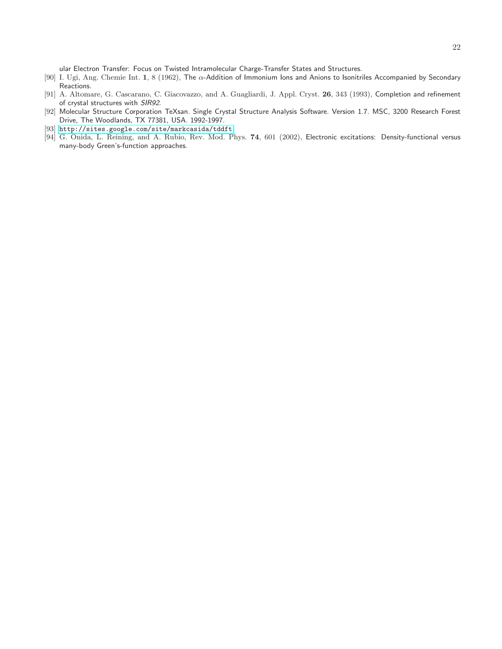ular Electron Transfer: Focus on Twisted Intramolecular Charge-Transfer States and Structures.

- <span id="page-21-0"></span>[90] I. Ugi, Ang. Chemie Int. 1, 8 (1962), The  $\alpha$ -Addition of Immonium Ions and Anions to Isonitriles Accompanied by Secondary Reactions.
- <span id="page-21-1"></span>[91] A. Altomare, G. Cascarano, C. Giacovazzo, and A. Guagliardi, J. Appl. Cryst. 26, 343 (1993), Completion and refinement of crystal structures with SIR92.
- <span id="page-21-2"></span>[92] Molecular Structure Corporation TeXsan. Single Crystal Structure Analysis Software. Version 1.7. MSC, 3200 Research Forest Drive, The Woodlands, TX 77381, USA. 1992-1997.
- <span id="page-21-3"></span>[93] <http://sites.google.com/site/markcasida/tddft>.
- <span id="page-21-4"></span>[94] G. Onida, L. Reining, and A. Rubio, Rev. Mod. Phys. 74, 601 (2002), Electronic excitations: Density-functional versus many-body Green's-function approaches.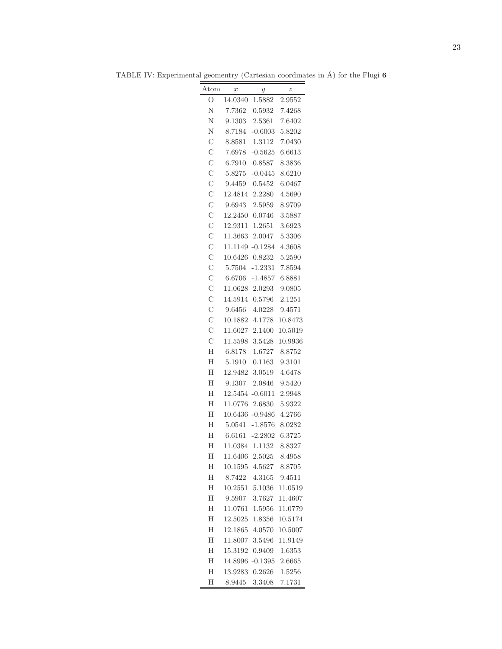<span id="page-22-0"></span>TABLE IV: Experimental geomentry (Cartesian coordinates in  $\AA$ ) for the Flugi 6

| Atom           | $\boldsymbol{x}$ | $y_{-}$        | $\boldsymbol{z}$ |
|----------------|------------------|----------------|------------------|
| О              | 14.0340          | 1.5882         | 2.9552           |
| N              | 7.7362           | 0.5932         | 7.4268           |
| N              | 9.1303           | 2.5361         | 7.6402           |
| N              | 8.7184           | $-0.6003$      | 5.8202           |
| $\mathcal{C}$  | 8.8581           | 1.3112         | 7.0430           |
| $\overline{C}$ | 7.6978           | $-0.5625$      | 6.6613           |
| $\overline{C}$ | 6.7910           | 0.8587         | 8.3836           |
| $\overline{C}$ | 5.8275           | -0.0445        | 8.6210           |
| $\overline{C}$ | 9.4459           | $\;\:0.5452$   | 6.0467           |
| $\overline{C}$ | 12.4814          | 2.2280         | $4.5690\,$       |
| $\overline{C}$ | 9.6943           | 2.5959         | 8.9709           |
| $\overline{C}$ | 12.2450          | 0.0746         | 3.5887           |
| $\overline{C}$ | 12.9311          | 1.2651         | 3.6923           |
| $\overline{C}$ | 11.3663          | 2.0047         | 5.3306           |
| $\overline{C}$ | 11.1149          | $-0.1284$      | 4.3608           |
| $\overline{C}$ | 10.6426          | 0.8232         | 5.2590           |
| $\overline{C}$ | 5.7504           | $-1.2331$      | 7.8594           |
| $\overline{C}$ | 6.6706           | $-1.4857$      | 6.8881           |
| $\overline{C}$ | 11.0628          | 2.0293         | 9.0805           |
| $\overline{C}$ | 14.5914          | 0.5796         | 2.1251           |
| $\overline{C}$ | 9.6456           | 4.0228         | 9.4571           |
| $\overline{C}$ | 10.1882          | 4.1778         | 10.8473          |
| $\overline{C}$ | 11.6027          | 2.1400         | 10.5019          |
| $\mathcal{C}$  | 11.5598          | 3.5428         | 10.9936          |
| Η              | 6.8178           | 1.6727         | 8.8752           |
| Η              | 5.1910           | 0.1163         | 9.3101           |
| Η              | 12.9482          | 3.0519         | 4.6478           |
| Η              | 9.1307           | 2.0846         | 9.5420           |
| Η              | 12.5454          | $-0.6011$      | 2.9948           |
| Η              | 11.0776          | 2.6830         | 5.9322           |
| Η              | 10.6436          | $-0.9486$      | 4.2766           |
| Η              | 5.0541           | $-1.8576$      | 8.0282           |
| Η              | 6.6161           | $-2.2802$      | 6.3725           |
| Н              | 11.0384          | 1.1132         | 8.8327           |
| Η              | 11.6406          | 2.5025         | 8.4958           |
| Η              | 10.1595 4.5627   |                | 8.8705           |
| Η              | 8.7422           | 4.3165         | 9.4511           |
| Η              | 10.2551          | 5.1036         | 11.0519          |
| Η              | 9.5907           | 3.7627         | 11.4607          |
| Η              | 11.0761          | 1.5956         | 11.0779          |
| Η              | 12.5025          | 1.8356         | 10.5174          |
| Η              |                  | 12.1865 4.0570 | 10.5007          |
| Η              | 11.8007 3.5496   |                | 11.9149          |
| Η              | 15.3192          | 0.9409         | 1.6353           |
| Η              | 14.8996          | $-0.1395$      | 2.6665           |
| Η              | 13.9283          | 0.2626         | 1.5256           |
| Η              | 8.9445           | 3.3408         | 7.1731           |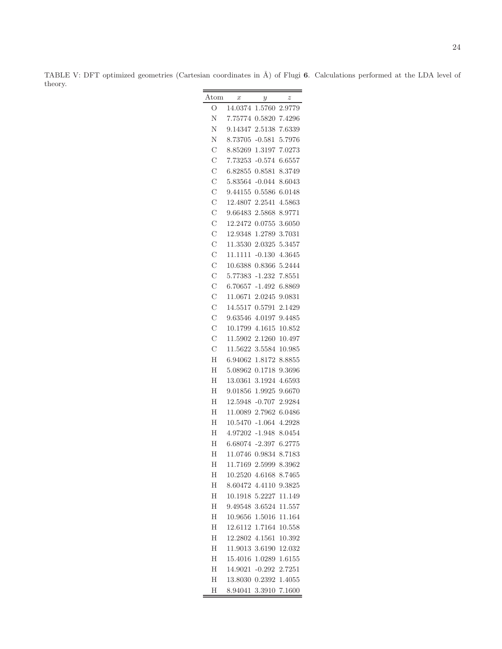24

<span id="page-23-0"></span>TABLE V: DFT optimized geometries (Cartesian coordinates in Å) of Flugi 6. Calculations performed at the LDA level of theory.

|                      |                                                                                                                                                                                                                                   | $\boldsymbol{z}$                                                                                                                                                                                   |
|----------------------|-----------------------------------------------------------------------------------------------------------------------------------------------------------------------------------------------------------------------------------|----------------------------------------------------------------------------------------------------------------------------------------------------------------------------------------------------|
|                      |                                                                                                                                                                                                                                   | 2.9779                                                                                                                                                                                             |
|                      |                                                                                                                                                                                                                                   | 7.4296                                                                                                                                                                                             |
|                      |                                                                                                                                                                                                                                   | 7.6339                                                                                                                                                                                             |
|                      |                                                                                                                                                                                                                                   | 5.7976                                                                                                                                                                                             |
|                      |                                                                                                                                                                                                                                   |                                                                                                                                                                                                    |
|                      |                                                                                                                                                                                                                                   | 7.0273                                                                                                                                                                                             |
|                      |                                                                                                                                                                                                                                   | 6.6557                                                                                                                                                                                             |
|                      |                                                                                                                                                                                                                                   | 8.3749                                                                                                                                                                                             |
|                      |                                                                                                                                                                                                                                   | 8.6043                                                                                                                                                                                             |
|                      |                                                                                                                                                                                                                                   | 6.0148                                                                                                                                                                                             |
|                      |                                                                                                                                                                                                                                   | 4.5863                                                                                                                                                                                             |
|                      |                                                                                                                                                                                                                                   | 8.9771                                                                                                                                                                                             |
|                      |                                                                                                                                                                                                                                   | 3.6050                                                                                                                                                                                             |
|                      |                                                                                                                                                                                                                                   | 3.7031                                                                                                                                                                                             |
|                      |                                                                                                                                                                                                                                   | 5.3457                                                                                                                                                                                             |
| 11.1111              |                                                                                                                                                                                                                                   | 4.3645                                                                                                                                                                                             |
|                      | $\,0.8366\,$                                                                                                                                                                                                                      | 5.2444                                                                                                                                                                                             |
| 5.77383              | $-1.232$                                                                                                                                                                                                                          | $7.8551\,$                                                                                                                                                                                         |
| $\phantom{-}6.70657$ | $-1.492$                                                                                                                                                                                                                          | 6.8869                                                                                                                                                                                             |
| 11.0671              | 2.0245                                                                                                                                                                                                                            | 9.0831                                                                                                                                                                                             |
|                      | $\;\:0.5791$                                                                                                                                                                                                                      | 2.1429                                                                                                                                                                                             |
| 9.63546              | 4.0197                                                                                                                                                                                                                            | 9.4485                                                                                                                                                                                             |
| 10.1799              | 4.1615                                                                                                                                                                                                                            | 10.852                                                                                                                                                                                             |
| 11.5902              | 2.1260                                                                                                                                                                                                                            | 10.497                                                                                                                                                                                             |
| 11.5622              | 3.5584                                                                                                                                                                                                                            | 10.985                                                                                                                                                                                             |
| 6.94062              | 1.8172                                                                                                                                                                                                                            | 8.8855                                                                                                                                                                                             |
| 5.08962              | 0.1718                                                                                                                                                                                                                            | 9.3696                                                                                                                                                                                             |
| 13.0361              | 3.1924                                                                                                                                                                                                                            | 4.6593                                                                                                                                                                                             |
| 9.01856              | 1.9925                                                                                                                                                                                                                            | 9.6670                                                                                                                                                                                             |
| 12.5948              | $-0.707$                                                                                                                                                                                                                          | 2.9284                                                                                                                                                                                             |
| 11.0089              | 2.7962                                                                                                                                                                                                                            | 6.0486                                                                                                                                                                                             |
| 10.5470              | -1.064                                                                                                                                                                                                                            | 4.2928                                                                                                                                                                                             |
| 4.97202              | $-1.948$                                                                                                                                                                                                                          | 8.0454                                                                                                                                                                                             |
| 6.68074              | $-2.397$                                                                                                                                                                                                                          | 6.2775                                                                                                                                                                                             |
| 11.0746              | 0.9834                                                                                                                                                                                                                            | 8.7183                                                                                                                                                                                             |
| 11.7169              | 2.5999                                                                                                                                                                                                                            | 8.3962                                                                                                                                                                                             |
| 10.2520              | 4.6168                                                                                                                                                                                                                            | 8.7465                                                                                                                                                                                             |
| 8.60472              | 4.4110                                                                                                                                                                                                                            | 9.3825                                                                                                                                                                                             |
| 10.1918              | 5.2227                                                                                                                                                                                                                            | 11.149                                                                                                                                                                                             |
| 9.49548              | 3.6524                                                                                                                                                                                                                            | 11.557                                                                                                                                                                                             |
| 10.9656              | 1.5016                                                                                                                                                                                                                            | 11.164                                                                                                                                                                                             |
| 12.6112              | 1.7164                                                                                                                                                                                                                            | 10.558                                                                                                                                                                                             |
| 12.2802              | 4.1561                                                                                                                                                                                                                            | 10.392                                                                                                                                                                                             |
|                      | 3.6190                                                                                                                                                                                                                            | 12.032                                                                                                                                                                                             |
| 15.4016              | 1.0289                                                                                                                                                                                                                            | 1.6155                                                                                                                                                                                             |
| 14.9021              | $-0.292$                                                                                                                                                                                                                          | 2.7251                                                                                                                                                                                             |
|                      |                                                                                                                                                                                                                                   | 1.4055                                                                                                                                                                                             |
|                      |                                                                                                                                                                                                                                   | 7.1600                                                                                                                                                                                             |
|                      | $\boldsymbol{x}$<br>14.0374<br>7.75774<br>9.14347<br>8.73705<br>8.85269<br>7.73253<br>6.82855<br>5.83564<br>9.44155<br>12.4807<br>9.66483<br>12.2472<br>12.9348<br>11.3530<br>10.6388<br>14.5517<br>11.9013<br>13.8030<br>8.94041 | у<br>1.5760<br>0.5820<br>2.5138<br>$-0.581$<br>1.3197<br>$-0.574$<br>$_{0.8581}$<br>$-0.044$<br>$\;\:0.5586$<br>2.2541<br>2.5868<br>0.0755<br>1.2789<br>$2.0325\,$<br>$-0.130$<br>0.2392<br>3.3910 |